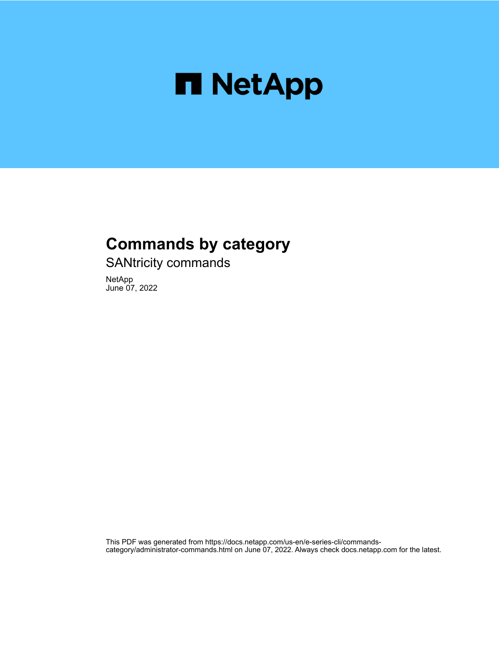

# **Commands by category**

SANtricity commands

NetApp June 07, 2022

This PDF was generated from https://docs.netapp.com/us-en/e-series-cli/commandscategory/administrator-commands.html on June 07, 2022. Always check docs.netapp.com for the latest.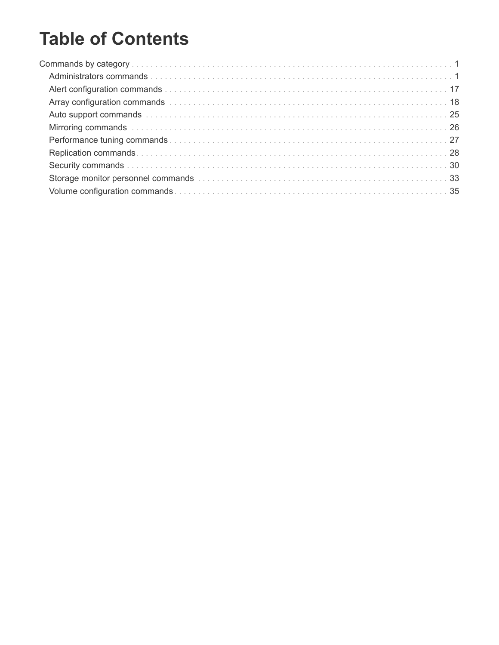# **Table of Contents**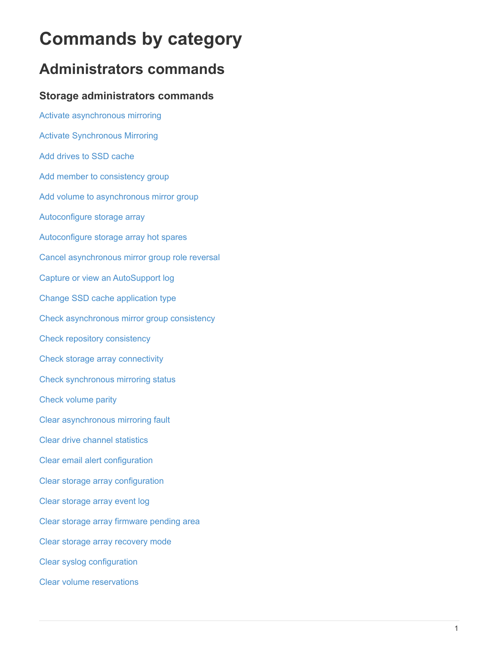# <span id="page-2-0"></span>**Commands by category**

# <span id="page-2-1"></span>**Administrators commands**

# **Storage administrators commands**

[Activate asynchronous mirroring](https://docs.netapp.com/us-en/e-series-cli/commands-a-z/activate-asynchronous-mirroring.html) [Activate Synchronous Mirroring](https://docs.netapp.com/us-en/e-series-cli/commands-a-z/activate-synchronous-mirroring.html) [Add drives to SSD cache](https://docs.netapp.com/us-en/e-series-cli/commands-a-z/add-drives-to-ssd-cache.html) [Add member to consistency group](https://docs.netapp.com/us-en/e-series-cli/commands-a-z/set-consistencygroup-addcgmembervolume.html) [Add volume to asynchronous mirror group](https://docs.netapp.com/us-en/e-series-cli/commands-a-z/add-volume-asyncmirrorgroup.html) [Autoconfigure storage array](https://docs.netapp.com/us-en/e-series-cli/commands-a-z/autoconfigure-storagearray.html) [Autoconfigure storage array hot spares](https://docs.netapp.com/us-en/e-series-cli/commands-a-z/autoconfigure-storagearray-hotspares.html) [Cancel asynchronous mirror group role reversal](https://docs.netapp.com/us-en/e-series-cli/commands-a-z/stop-asyncmirrorgroup-rolechange.html) [Capture or view an AutoSupport log](https://docs.netapp.com/us-en/e-series-cli/commands-a-z/smcli-autosupportlog.html) [Change SSD cache application type](https://docs.netapp.com/us-en/e-series-cli/commands-a-z/change-ssd-cache-application-type.html) [Check asynchronous mirror group consistency](https://docs.netapp.com/us-en/e-series-cli/commands-a-z/check-asyncmirrorgroup-repositoryconsistency.html) [Check repository consistency](https://docs.netapp.com/us-en/e-series-cli/commands-a-z/check-repositoryconsistency.html) [Check storage array connectivity](https://docs.netapp.com/us-en/e-series-cli/commands-a-z/check-storagearray-connectivity.html) [Check synchronous mirroring status](https://docs.netapp.com/us-en/e-series-cli/commands-a-z/check-syncmirror.html) [Check volume parity](https://docs.netapp.com/us-en/e-series-cli/commands-a-z/check-volume-parity.html) [Clear asynchronous mirroring fault](https://docs.netapp.com/us-en/e-series-cli/commands-a-z/clear-asyncmirrorfault.html) [Clear drive channel statistics](https://docs.netapp.com/us-en/e-series-cli/commands-a-z/clear-alldrivechannels-stats.html) [Clear email alert configuration](https://docs.netapp.com/us-en/e-series-cli/commands-a-z/clear-emailalert-configuration.html) [Clear storage array configuration](https://docs.netapp.com/us-en/e-series-cli/commands-a-z/clear-storagearray-configuration.html) [Clear storage array event log](https://docs.netapp.com/us-en/e-series-cli/commands-a-z/clear-storagearray-eventlog.html) [Clear storage array firmware pending area](https://docs.netapp.com/us-en/e-series-cli/commands-a-z/clear-storagearray-firmwarependingarea.html) [Clear storage array recovery mode](https://docs.netapp.com/us-en/e-series-cli/commands-a-z/clear-storagearray-recoverymode.html) [Clear syslog configuration](https://docs.netapp.com/us-en/e-series-cli/commands-a-z/clear-syslog-configuration.html) [Clear volume reservations](https://docs.netapp.com/us-en/e-series-cli/commands-a-z/clear-volume-reservations.html)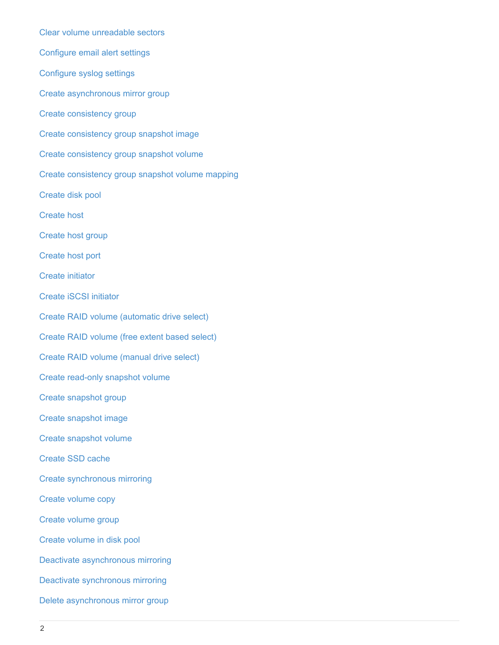[Clear volume unreadable sectors](https://docs.netapp.com/us-en/e-series-cli/commands-a-z/clear-volume-unreadablesectors.html) [Configure email alert settings](https://docs.netapp.com/us-en/e-series-cli/commands-a-z/set-emailalert.html) [Configure syslog settings](https://docs.netapp.com/us-en/e-series-cli/commands-a-z/set-syslog.html) [Create asynchronous mirror group](https://docs.netapp.com/us-en/e-series-cli/commands-a-z/create-asyncmirrorgroup.html) [Create consistency group](https://docs.netapp.com/us-en/e-series-cli/commands-a-z/create-consistencygroup.html) [Create consistency group snapshot image](https://docs.netapp.com/us-en/e-series-cli/commands-a-z/create-cgsnapimage-consistencygroup.html) [Create consistency group snapshot volume](https://docs.netapp.com/us-en/e-series-cli/commands-a-z/create-cgsnapvolume.html) [Create consistency group snapshot volume mapping](https://docs.netapp.com/us-en/e-series-cli/commands-a-z/create-mapping-cgsnapvolume.html) [Create disk pool](https://docs.netapp.com/us-en/e-series-cli/commands-a-z/create-diskpool.html) [Create host](https://docs.netapp.com/us-en/e-series-cli/commands-a-z/create-host.html) [Create host group](https://docs.netapp.com/us-en/e-series-cli/commands-a-z/create-hostgroup.html) [Create host port](https://docs.netapp.com/us-en/e-series-cli/commands-a-z/create-hostport.html) [Create initiator](https://docs.netapp.com/us-en/e-series-cli/commands-a-z/create-initiator.html) [Create iSCSI initiator](https://docs.netapp.com/us-en/e-series-cli/commands-a-z/create-iscsiinitiator.html) [Create RAID volume \(automatic drive select\)](https://docs.netapp.com/us-en/e-series-cli/commands-a-z/create-raid-volume-automatic-drive-select.html) [Create RAID volume \(free extent based select\)](https://docs.netapp.com/us-en/e-series-cli/commands-a-z/create-raid-volume-free-extent-based-select.html) [Create RAID volume \(manual drive select\)](https://docs.netapp.com/us-en/e-series-cli/commands-a-z/create-raid-volume-manual-drive-select.html) [Create read-only snapshot volume](https://docs.netapp.com/us-en/e-series-cli/commands-a-z/create-read-only-snapshot-volume.html) [Create snapshot group](https://docs.netapp.com/us-en/e-series-cli/commands-a-z/create-snapgroup.html) [Create snapshot image](https://docs.netapp.com/us-en/e-series-cli/commands-a-z/create-snapimage.html) [Create snapshot volume](https://docs.netapp.com/us-en/e-series-cli/commands-a-z/create-snapshot-volume.html) [Create SSD cache](https://docs.netapp.com/us-en/e-series-cli/commands-a-z/create-ssdcache.html) [Create synchronous mirroring](https://docs.netapp.com/us-en/e-series-cli/commands-a-z/create-syncmirror.html) [Create volume copy](https://docs.netapp.com/us-en/e-series-cli/commands-a-z/create-volumecopy.html) [Create volume group](https://docs.netapp.com/us-en/e-series-cli/commands-a-z/create-volumegroup.html) [Create volume in disk pool](https://docs.netapp.com/us-en/e-series-cli/commands-a-z/create-volume-diskpool.html) [Deactivate asynchronous mirroring](https://docs.netapp.com/us-en/e-series-cli/commands-a-z/deactivate-storagearray.html) [Deactivate synchronous mirroring](https://docs.netapp.com/us-en/e-series-cli/commands-a-z/deactivate-storagearray-feature.html) [Delete asynchronous mirror group](https://docs.netapp.com/us-en/e-series-cli/commands-a-z/delete-asyncmirrorgroup.html)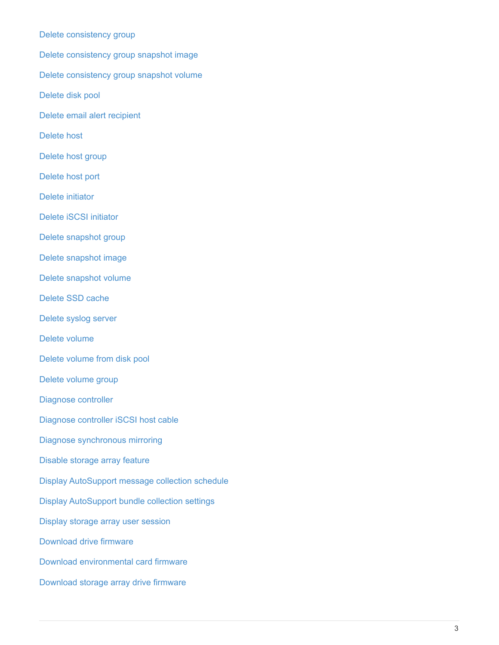[Delete consistency group](https://docs.netapp.com/us-en/e-series-cli/commands-a-z/delete-consistencygroup.html) [Delete consistency group snapshot image](https://docs.netapp.com/us-en/e-series-cli/commands-a-z/delete-cgsnapimage-consistencygroup.html) [Delete consistency group snapshot volume](https://docs.netapp.com/us-en/e-series-cli/commands-a-z/delete-sgsnapvolume.html) [Delete disk pool](https://docs.netapp.com/us-en/e-series-cli/commands-a-z/delete-diskpool.html) [Delete email alert recipient](https://docs.netapp.com/us-en/e-series-cli/commands-a-z/delete-emailalert.html) [Delete host](https://docs.netapp.com/us-en/e-series-cli/commands-a-z/delete-host.html) [Delete host group](https://docs.netapp.com/us-en/e-series-cli/commands-a-z/delete-hostgroup.html) [Delete host port](https://docs.netapp.com/us-en/e-series-cli/commands-a-z/delete-hostport.html) [Delete initiator](https://docs.netapp.com/us-en/e-series-cli/commands-a-z/delete-initiator.html) [Delete iSCSI initiator](https://docs.netapp.com/us-en/e-series-cli/commands-a-z/delete-iscsiinitiator.html) [Delete snapshot group](https://docs.netapp.com/us-en/e-series-cli/commands-a-z/delete-snapgroup.html) [Delete snapshot image](https://docs.netapp.com/us-en/e-series-cli/commands-a-z/delete-snapimage.html) [Delete snapshot volume](https://docs.netapp.com/us-en/e-series-cli/commands-a-z/delete-snapvolume.html) [Delete SSD cache](https://docs.netapp.com/us-en/e-series-cli/commands-a-z/delete-ssdcache.html) [Delete syslog server](https://docs.netapp.com/us-en/e-series-cli/commands-a-z/delete-syslog.html) [Delete volume](https://docs.netapp.com/us-en/e-series-cli/commands-a-z/delete-volume.html) [Delete volume from disk pool](https://docs.netapp.com/us-en/e-series-cli/commands-a-z/delete-volume-from-disk-pool.html) [Delete volume group](https://docs.netapp.com/us-en/e-series-cli/commands-a-z/delete-volumegroup.html) [Diagnose controller](https://docs.netapp.com/us-en/e-series-cli/commands-a-z/diagnose-controller.html) [Diagnose controller iSCSI host cable](https://docs.netapp.com/us-en/e-series-cli/commands-a-z/diagnose-controller-iscsihostport.html) [Diagnose synchronous mirroring](https://docs.netapp.com/us-en/e-series-cli/commands-a-z/diagnose-syncmirror.html) [Disable storage array feature](https://docs.netapp.com/us-en/e-series-cli/commands-a-z/disable-storagearray.html) [Display AutoSupport message collection schedule](https://docs.netapp.com/us-en/e-series-cli/commands-a-z/smcli-autosupportschedule-show.html) [Display AutoSupport bundle collection settings](https://docs.netapp.com/us-en/e-series-cli/commands-a-z/smcli-autosupportconfig-show.html) [Display storage array user session](https://docs.netapp.com/us-en/e-series-cli/commands-a-z/show-storagearray-usersession.html) [Download drive firmware](https://docs.netapp.com/us-en/e-series-cli/commands-a-z/download-drive-firmware.html) [Download environmental card firmware](https://docs.netapp.com/us-en/e-series-cli/commands-a-z/download-tray-firmware-file.html) [Download storage array drive firmware](https://docs.netapp.com/us-en/e-series-cli/commands-a-z/download-storagearray-drivefirmware-file.html)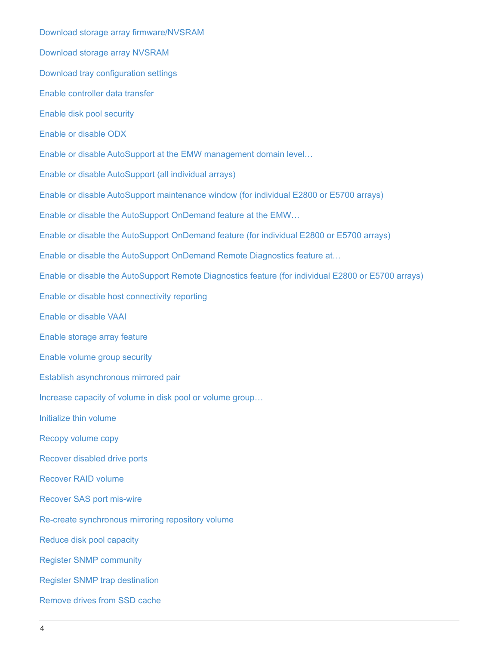[Download storage array firmware/NVSRAM](https://docs.netapp.com/us-en/e-series-cli/commands-a-z/download-storagearray-firmware.html) [Download storage array NVSRAM](https://docs.netapp.com/us-en/e-series-cli/commands-a-z/download-storagearray-nvsram.html) [Download tray configuration settings](https://docs.netapp.com/us-en/e-series-cli/commands-a-z/download-tray-configurationsettings.html) [Enable controller data transfer](https://docs.netapp.com/us-en/e-series-cli/commands-a-z/enable-controller-datatransfer.html) [Enable disk pool security](https://docs.netapp.com/us-en/e-series-cli/commands-a-z/enable-diskpool-security.html) [Enable or disable ODX](https://docs.netapp.com/us-en/e-series-cli/commands-a-z/set-storagearray-odxenabled.html) [Enable or disable AutoSupport at the EMW management domain level…](https://docs.netapp.com/us-en/e-series-cli/commands-a-z/smcli-enable-autosupportfeature.html) [Enable or disable AutoSupport \(all individual arrays\)](https://docs.netapp.com/us-en/e-series-cli/commands-a-z/enable-or-disable-autosupport-individual-arrays.html) [Enable or disable AutoSupport maintenance window \(for individual E2800 or E5700 arrays\)](https://docs.netapp.com/us-en/e-series-cli/commands-a-z/set-storagearray-autosupportmaintenancewindow.html) [Enable or disable the AutoSupport OnDemand feature at the EMW…](https://docs.netapp.com/us-en/e-series-cli/commands-a-z/smcli-enable-disable-autosupportondemand.html) [Enable or disable the AutoSupport OnDemand feature \(for individual E2800 or E5700 arrays\)](https://docs.netapp.com/us-en/e-series-cli/commands-a-z/set-storagearray-autosupportondemand.html) [Enable or disable the AutoSupport OnDemand Remote Diagnostics feature at…](https://docs.netapp.com/us-en/e-series-cli/commands-a-z/smcli-enable-disable-autosupportremotediag.html) [Enable or disable the AutoSupport Remote Diagnostics feature \(for individual E2800 or E5700 arrays\)](https://docs.netapp.com/us-en/e-series-cli/commands-a-z/set-storagearray-autosupportremotediag.html) [Enable or disable host connectivity reporting](https://docs.netapp.com/us-en/e-series-cli/commands-a-z/set-storagearray-hostconnectivityreporting.html) [Enable or disable VAAI](https://docs.netapp.com/us-en/e-series-cli/commands-a-z/set-storagearray-vaaienabled.html) [Enable storage array feature](https://docs.netapp.com/us-en/e-series-cli/commands-a-z/enable-storagearray-feature-file.html) [Enable volume group security](https://docs.netapp.com/us-en/e-series-cli/commands-a-z/enable-volumegroup-security.html) [Establish asynchronous mirrored pair](https://docs.netapp.com/us-en/e-series-cli/commands-a-z/establish-asyncmirror-volume.html) [Increase capacity of volume in disk pool or volume group…](https://docs.netapp.com/us-en/e-series-cli/commands-a-z/start-increasevolumecapacity-volume.html) [Initialize thin volume](https://docs.netapp.com/us-en/e-series-cli/commands-a-z/start-volume-initialize.html) [Recopy volume copy](https://docs.netapp.com/us-en/e-series-cli/commands-a-z/recopy-volumecopy-target.html) [Recover disabled drive ports](https://docs.netapp.com/us-en/e-series-cli/commands-a-z/recover-disabled-driveports.html) [Recover RAID volume](https://docs.netapp.com/us-en/e-series-cli/commands-a-z/recover-volume.html) [Recover SAS port mis-wire](https://docs.netapp.com/us-en/e-series-cli/commands-a-z/recover-sasport-miswire.html) [Re-create synchronous mirroring repository volume](https://docs.netapp.com/us-en/e-series-cli/commands-a-z/recreate-storagearray-mirrorrepository.html) [Reduce disk pool capacity](https://docs.netapp.com/us-en/e-series-cli/commands-a-z/reduce-disk-pool-capacity.html) [Register SNMP community](https://docs.netapp.com/us-en/e-series-cli/commands-a-z/create-snmpcommunity.html) [Register SNMP trap destination](https://docs.netapp.com/us-en/e-series-cli/commands-a-z/create-snmptrapdestination.html) [Remove drives from SSD cache](https://docs.netapp.com/us-en/e-series-cli/commands-a-z/remove-drives-from-ssd-cache.html)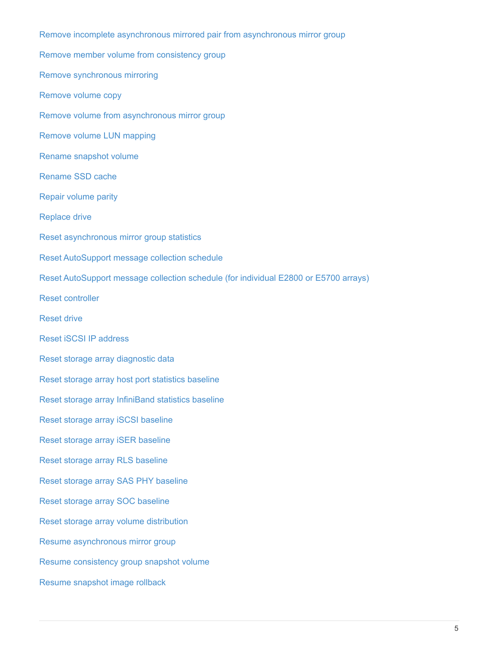[Remove incomplete asynchronous mirrored pair from asynchronous mirror group](https://docs.netapp.com/us-en/e-series-cli/commands-a-z/remove-asyncmirrorgroup.html) [Remove member volume from consistency group](https://docs.netapp.com/us-en/e-series-cli/commands-a-z/remove-member-volume-from-consistency-group.html) [Remove synchronous mirroring](https://docs.netapp.com/us-en/e-series-cli/commands-a-z/remove-syncmirror.html) [Remove volume copy](https://docs.netapp.com/us-en/e-series-cli/commands-a-z/remove-volumecopy-target.html) [Remove volume from asynchronous mirror group](https://docs.netapp.com/us-en/e-series-cli/commands-a-z/remove-volume-asyncmirrorgroup.html) [Remove volume LUN mapping](https://docs.netapp.com/us-en/e-series-cli/commands-a-z/remove-lunmapping.html) [Rename snapshot volume](https://docs.netapp.com/us-en/e-series-cli/commands-a-z/set-snapvolume.html) [Rename SSD cache](https://docs.netapp.com/us-en/e-series-cli/commands-a-z/rename-ssd-cache.html) [Repair volume parity](https://docs.netapp.com/us-en/e-series-cli/commands-a-z/repair-volume-parity.html) [Replace drive](https://docs.netapp.com/us-en/e-series-cli/commands-a-z/replace-drive-replacementdrive.html) [Reset asynchronous mirror group statistics](https://docs.netapp.com/us-en/e-series-cli/commands-a-z/reset-storagearray-arvmstats-asyncmirrorgroup.html) [Reset AutoSupport message collection schedule](https://docs.netapp.com/us-en/e-series-cli/commands-a-z/smcli-autosupportschedule-reset.html) [Reset AutoSupport message collection schedule \(for individual E2800 or E5700 arrays\)](https://docs.netapp.com/us-en/e-series-cli/commands-a-z/reset-storagearray-autosupport-schedule.html) [Reset controller](https://docs.netapp.com/us-en/e-series-cli/commands-a-z/reset-controller.html) [Reset drive](https://docs.netapp.com/us-en/e-series-cli/commands-a-z/reset-drive.html) [Reset iSCSI IP address](https://docs.netapp.com/us-en/e-series-cli/commands-a-z/reset-iscsiipaddress.html) [Reset storage array diagnostic data](https://docs.netapp.com/us-en/e-series-cli/commands-a-z/reset-storagearray-diagnosticdata.html) [Reset storage array host port statistics baseline](https://docs.netapp.com/us-en/e-series-cli/commands-a-z/reset-storagearray-hostportstatisticsbaseline.html) [Reset storage array InfiniBand statistics baseline](https://docs.netapp.com/us-en/e-series-cli/commands-a-z/reset-storagearray-ibstatsbaseline.html) [Reset storage array iSCSI baseline](https://docs.netapp.com/us-en/e-series-cli/commands-a-z/reset-storagearray-iscsistatsbaseline.html) [Reset storage array iSER baseline](https://docs.netapp.com/us-en/e-series-cli/commands-a-z/reset-storagearray-iserstatsbaseline.html) [Reset storage array RLS baseline](https://docs.netapp.com/us-en/e-series-cli/commands-a-z/reset-storagearray-rlsbaseline.html) [Reset storage array SAS PHY baseline](https://docs.netapp.com/us-en/e-series-cli/commands-a-z/reset-storagearray-sasphybaseline.html) [Reset storage array SOC baseline](https://docs.netapp.com/us-en/e-series-cli/commands-a-z/reset-storagearray-socbaseline.html) [Reset storage array volume distribution](https://docs.netapp.com/us-en/e-series-cli/commands-a-z/reset-storagearray-volumedistribution.html) [Resume asynchronous mirror group](https://docs.netapp.com/us-en/e-series-cli/commands-a-z/resume-asyncmirrorgroup.html) [Resume consistency group snapshot volume](https://docs.netapp.com/us-en/e-series-cli/commands-a-z/resume-cgsnapvolume.html) [Resume snapshot image rollback](https://docs.netapp.com/us-en/e-series-cli/commands-a-z/resume-snapimage-rollback.html)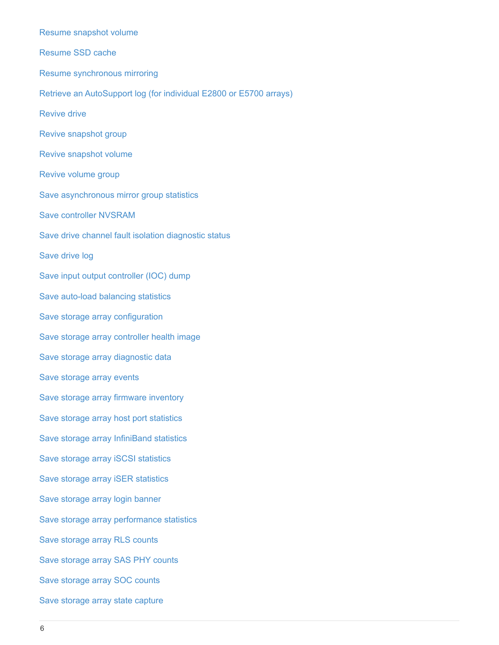[Resume snapshot volume](https://docs.netapp.com/us-en/e-series-cli/commands-a-z/resume-snapvolume.html) [Resume SSD cache](https://docs.netapp.com/us-en/e-series-cli/commands-a-z/resume-ssdcache.html) [Resume synchronous mirroring](https://docs.netapp.com/us-en/e-series-cli/commands-a-z/resume-syncmirror.html) [Retrieve an AutoSupport log \(for individual E2800 or E5700 arrays\)](https://docs.netapp.com/us-en/e-series-cli/commands-a-z/save-storagearray-autosupport-log.html) [Revive drive](https://docs.netapp.com/us-en/e-series-cli/commands-a-z/revive-drive.html) [Revive snapshot group](https://docs.netapp.com/us-en/e-series-cli/commands-a-z/revive-snapgroup.html) [Revive snapshot volume](https://docs.netapp.com/us-en/e-series-cli/commands-a-z/revive-snapvolume.html) [Revive volume group](https://docs.netapp.com/us-en/e-series-cli/commands-a-z/revive-volumegroup.html) [Save asynchronous mirror group statistics](https://docs.netapp.com/us-en/e-series-cli/commands-a-z/save-storagearray-arvmstats-asyncmirrorgroup.html) [Save controller NVSRAM](https://docs.netapp.com/us-en/e-series-cli/commands-a-z/save-controller-nvsram-file.html) [Save drive channel fault isolation diagnostic status](https://docs.netapp.com/us-en/e-series-cli/commands-a-z/save-drivechannel-faultdiagnostics-file.html) [Save drive log](https://docs.netapp.com/us-en/e-series-cli/commands-a-z/save-alldrives-logfile.html) [Save input output controller \(IOC\) dump](https://docs.netapp.com/us-en/e-series-cli/commands-a-z/save-ioclog.html) [Save auto-load balancing statistics](https://docs.netapp.com/us-en/e-series-cli/commands-a-z/save-storagearray-autoloadbalancestatistics-file.html) [Save storage array configuration](https://docs.netapp.com/us-en/e-series-cli/commands-a-z/save-storagearray-configuration.html) [Save storage array controller health image](https://docs.netapp.com/us-en/e-series-cli/commands-a-z/save-storagearray-controllerhealthimage.html) [Save storage array diagnostic data](https://docs.netapp.com/us-en/e-series-cli/commands-a-z/save-storage-array-diagnostic-data.html) [Save storage array events](https://docs.netapp.com/us-en/e-series-cli/commands-a-z/save-storagearray-warningevents.html) [Save storage array firmware inventory](https://docs.netapp.com/us-en/e-series-cli/commands-a-z/save-storagearray-firmwareinventory.html) [Save storage array host port statistics](https://docs.netapp.com/us-en/e-series-cli/commands-a-z/save-storagearray-hostportstatistics.html) [Save storage array InfiniBand statistics](https://docs.netapp.com/us-en/e-series-cli/commands-a-z/save-storagearray-ibstats.html) [Save storage array iSCSI statistics](https://docs.netapp.com/us-en/e-series-cli/commands-a-z/save-storagearray-iscsistatistics.html) [Save storage array iSER statistics](https://docs.netapp.com/us-en/e-series-cli/commands-a-z/save-storagearray-iserstatistics.html) [Save storage array login banner](https://docs.netapp.com/us-en/e-series-cli/commands-a-z/save-storagearray-loginbanner.html) [Save storage array performance statistics](https://docs.netapp.com/us-en/e-series-cli/commands-a-z/save-storagearray-performancestats.html) [Save storage array RLS counts](https://docs.netapp.com/us-en/e-series-cli/commands-a-z/save-storagearray-rlscounts.html) [Save storage array SAS PHY counts](https://docs.netapp.com/us-en/e-series-cli/commands-a-z/save-storagearray-sasphycounts.html) [Save storage array SOC counts](https://docs.netapp.com/us-en/e-series-cli/commands-a-z/save-storagearray-soccounts.html) [Save storage array state capture](https://docs.netapp.com/us-en/e-series-cli/commands-a-z/save-storagearray-statecapture.html)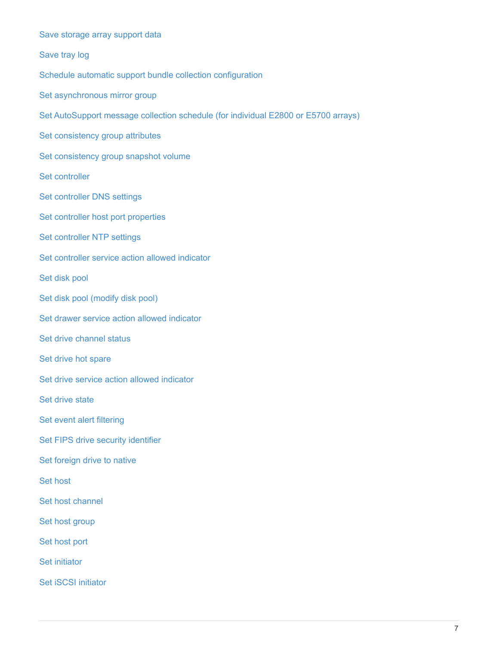| Save storage array support data                                                    |
|------------------------------------------------------------------------------------|
| Save tray log                                                                      |
| Schedule automatic support bundle collection configuration                         |
| Set asynchronous mirror group                                                      |
| Set AutoSupport message collection schedule (for individual E2800 or E5700 arrays) |
| Set consistency group attributes                                                   |
| Set consistency group snapshot volume                                              |
| Set controller                                                                     |
| Set controller DNS settings                                                        |
| Set controller host port properties                                                |
| Set controller NTP settings                                                        |
| Set controller service action allowed indicator                                    |
| Set disk pool                                                                      |
| Set disk pool (modify disk pool)                                                   |
| Set drawer service action allowed indicator                                        |
| Set drive channel status                                                           |
| Set drive hot spare                                                                |
| Set drive service action allowed indicator                                         |
| Set drive state                                                                    |
| Set event alert filtering                                                          |
| Set FIPS drive security identifier                                                 |
| Set foreign drive to native                                                        |
| <b>Set host</b>                                                                    |
| Set host channel                                                                   |
| Set host group                                                                     |
| Set host port                                                                      |
| <b>Set initiator</b>                                                               |
| Set iSCSI initiator                                                                |
|                                                                                    |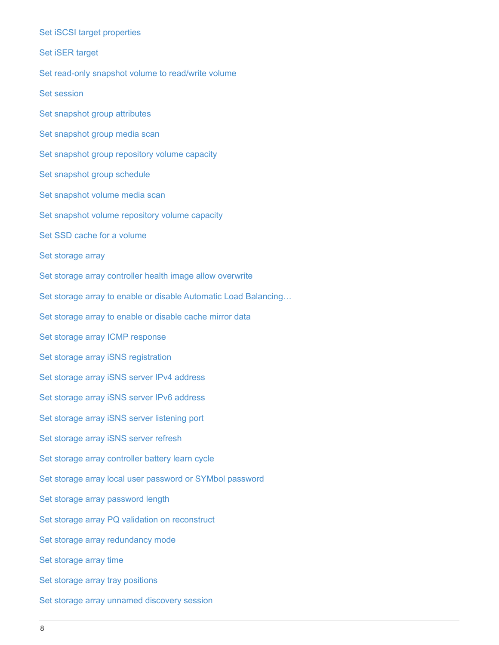[Set iSCSI target properties](https://docs.netapp.com/us-en/e-series-cli/commands-a-z/set-iscsitarget.html) [Set iSER target](https://docs.netapp.com/us-en/e-series-cli/commands-a-z/set-isertarget.html) [Set read-only snapshot volume to read/write volume](https://docs.netapp.com/us-en/e-series-cli/commands-a-z/set-snapvolume-converttoreadwrite.html) [Set session](https://docs.netapp.com/us-en/e-series-cli/commands-a-z/set-session-erroraction.html) [Set snapshot group attributes](https://docs.netapp.com/us-en/e-series-cli/commands-a-z/set-snapgroup.html) [Set snapshot group media scan](https://docs.netapp.com/us-en/e-series-cli/commands-a-z/set-snapgroup-mediascanenabled.html) [Set snapshot group repository volume capacity](https://docs.netapp.com/us-en/e-series-cli/commands-a-z/set-snapgroup-increase-decreaserepositorycapacity.html) [Set snapshot group schedule](https://docs.netapp.com/us-en/e-series-cli/commands-a-z/set-snapgroup-enableschedule.html) [Set snapshot volume media scan](https://docs.netapp.com/us-en/e-series-cli/commands-a-z/set-snapvolume-mediascanenabled.html) [Set snapshot volume repository volume capacity](https://docs.netapp.com/us-en/e-series-cli/commands-a-z/set-snapvolume-increase-decreaserepositorycapacity.html) [Set SSD cache for a volume](https://docs.netapp.com/us-en/e-series-cli/commands-a-z/set-volume-ssdcacheenabled.html) [Set storage array](https://docs.netapp.com/us-en/e-series-cli/commands-a-z/set-storagearray.html) [Set storage array controller health image allow overwrite](https://docs.netapp.com/us-en/e-series-cli/commands-a-z/set-storagearray-controllerhealthimageallowoverwrite.html) [Set storage array to enable or disable Automatic Load Balancing…](https://docs.netapp.com/us-en/e-series-cli/commands-a-z/set-storagearray-autoloadbalancingenable.html) [Set storage array to enable or disable cache mirror data](https://docs.netapp.com/us-en/e-series-cli/commands-a-z/set-storagearray-cachemirrordataassurancecheckenable.html) [Set storage array ICMP response](https://docs.netapp.com/us-en/e-series-cli/commands-a-z/set-storagearray-icmppingresponse.html) [Set storage array iSNS registration](https://docs.netapp.com/us-en/e-series-cli/commands-a-z/set-storagearray-isnsregistration.html) [Set storage array iSNS server IPv4 address](https://docs.netapp.com/us-en/e-series-cli/commands-a-z/set-storagearray-isnsipv4configurationmethod.html) [Set storage array iSNS server IPv6 address](https://docs.netapp.com/us-en/e-series-cli/commands-a-z/set-storagearray-isnsipv6address.html) [Set storage array iSNS server listening port](https://docs.netapp.com/us-en/e-series-cli/commands-a-z/set-storagearray-isnslisteningport.html) [Set storage array iSNS server refresh](https://docs.netapp.com/us-en/e-series-cli/commands-a-z/set-storagearray-isnsserverrefresh.html) [Set storage array controller battery learn cycle](https://docs.netapp.com/us-en/e-series-cli/commands-a-z/set-storagearray-learncycledate-controller.html) [Set storage array local user password or SYMbol password](https://docs.netapp.com/us-en/e-series-cli/commands-a-z/set-storagearray-localusername.html) [Set storage array password length](https://docs.netapp.com/us-en/e-series-cli/commands-a-z/set-storagearray-passwordlength.html) [Set storage array PQ validation on reconstruct](https://docs.netapp.com/us-en/e-series-cli/commands-a-z/set-storagearray-pqvalidateonreconstruct.html) [Set storage array redundancy mode](https://docs.netapp.com/us-en/e-series-cli/commands-a-z/set-storagearray-redundancymode.html) [Set storage array time](https://docs.netapp.com/us-en/e-series-cli/commands-a-z/set-storagearray-time.html) [Set storage array tray positions](https://docs.netapp.com/us-en/e-series-cli/commands-a-z/set-storagearray-traypositions.html) [Set storage array unnamed discovery session](https://docs.netapp.com/us-en/e-series-cli/commands-a-z/set-storagearray-unnameddiscoverysession.html)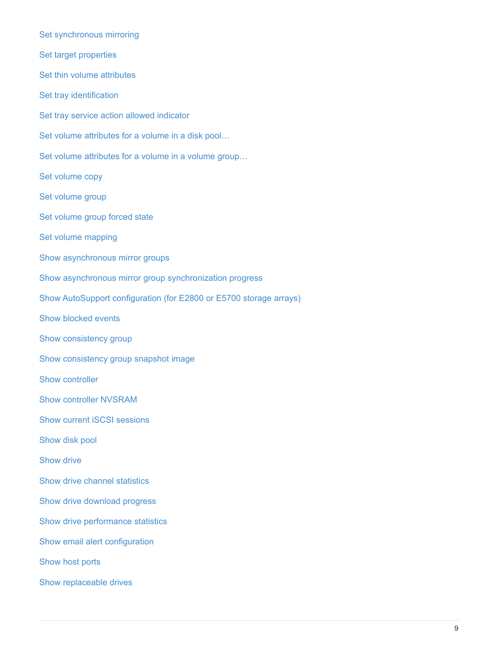[Set synchronous mirroring](https://docs.netapp.com/us-en/e-series-cli/commands-a-z/set-syncmirror.html) [Set target properties](https://docs.netapp.com/us-en/e-series-cli/commands-a-z/set-target.html) [Set thin volume attributes](https://docs.netapp.com/us-en/e-series-cli/commands-a-z/set-thin-volume-attributes.html) [Set tray identification](https://docs.netapp.com/us-en/e-series-cli/commands-a-z/set-tray-identification.html) [Set tray service action allowed indicator](https://docs.netapp.com/us-en/e-series-cli/commands-a-z/set-tray-serviceallowedindicator.html) [Set volume attributes for a volume in a disk pool…](https://docs.netapp.com/us-en/e-series-cli/commands-a-z/set-volumes.html) [Set volume attributes for a volume in a volume group…](https://docs.netapp.com/us-en/e-series-cli/commands-a-z/set-volume-group-attributes-for-volume-in-a-volume-group.html) [Set volume copy](https://docs.netapp.com/us-en/e-series-cli/commands-a-z/set-volumecopy-target.html) [Set volume group](https://docs.netapp.com/us-en/e-series-cli/commands-a-z/set-volumegroup.html) [Set volume group forced state](https://docs.netapp.com/us-en/e-series-cli/commands-a-z/set-volumegroup-forcedstate.html) [Set volume mapping](https://docs.netapp.com/us-en/e-series-cli/commands-a-z/set-volume-logicalunitnumber.html) [Show asynchronous mirror groups](https://docs.netapp.com/us-en/e-series-cli/commands-a-z/show-asyncmirrorgroup-summary.html) [Show asynchronous mirror group synchronization progress](https://docs.netapp.com/us-en/e-series-cli/commands-a-z/show-asyncmirrorgroup-synchronizationprogress.html) [Show AutoSupport configuration \(for E2800 or E5700 storage arrays\)](https://docs.netapp.com/us-en/e-series-cli/commands-a-z/show-storagearray-autosupport.html) [Show blocked events](https://docs.netapp.com/us-en/e-series-cli/commands-a-z/show-blockedeventalertlist.html) [Show consistency group](https://docs.netapp.com/us-en/e-series-cli/commands-a-z/show-consistencygroup.html) [Show consistency group snapshot image](https://docs.netapp.com/us-en/e-series-cli/commands-a-z/show-cgsnapimage.html) [Show controller](https://docs.netapp.com/us-en/e-series-cli/commands-a-z/show-controller.html) [Show controller NVSRAM](https://docs.netapp.com/us-en/e-series-cli/commands-a-z/show-controller-nvsram.html) [Show current iSCSI sessions](https://docs.netapp.com/us-en/e-series-cli/commands-a-z/show-iscsisessions.html) [Show disk pool](https://docs.netapp.com/us-en/e-series-cli/commands-a-z/show-diskpool.html) [Show drive](https://docs.netapp.com/us-en/e-series-cli/commands-a-z/show-alldrives.html) [Show drive channel statistics](https://docs.netapp.com/us-en/e-series-cli/commands-a-z/show-drivechannel-stats.html) [Show drive download progress](https://docs.netapp.com/us-en/e-series-cli/commands-a-z/show-alldrives-downloadprogress.html) [Show drive performance statistics](https://docs.netapp.com/us-en/e-series-cli/commands-a-z/show-alldrives-performancestats.html) [Show email alert configuration](https://docs.netapp.com/us-en/e-series-cli/commands-a-z/show-emailalert-summary.html) [Show host ports](https://docs.netapp.com/us-en/e-series-cli/commands-a-z/show-allhostports.html) [Show replaceable drives](https://docs.netapp.com/us-en/e-series-cli/commands-a-z/show-replaceabledrives.html)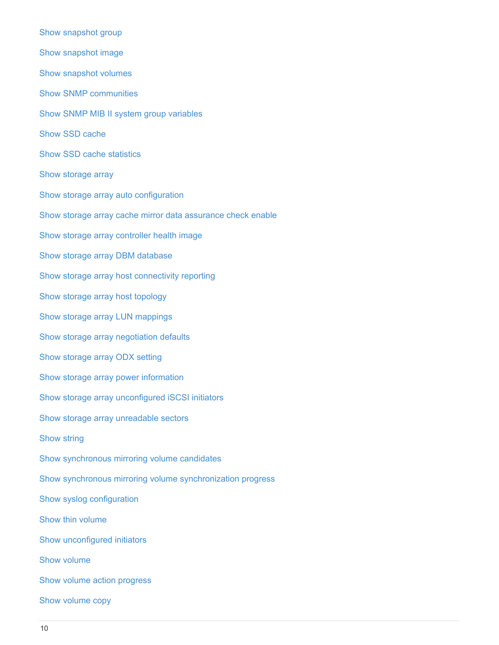[Show snapshot group](https://docs.netapp.com/us-en/e-series-cli/commands-a-z/show-snapgroup.html) [Show snapshot image](https://docs.netapp.com/us-en/e-series-cli/commands-a-z/show-snapimage.html) [Show snapshot volumes](https://docs.netapp.com/us-en/e-series-cli/commands-a-z/show-snapvolume.html) [Show SNMP communities](https://docs.netapp.com/us-en/e-series-cli/commands-a-z/show-allsnmpcommunities.html) [Show SNMP MIB II system group variables](https://docs.netapp.com/us-en/e-series-cli/commands-a-z/show-snmpsystemvariables.html) [Show SSD cache](https://docs.netapp.com/us-en/e-series-cli/commands-a-z/show-ssd-cache.html) [Show SSD cache statistics](https://docs.netapp.com/us-en/e-series-cli/commands-a-z/show-ssd-cache-statistics.html) [Show storage array](https://docs.netapp.com/us-en/e-series-cli/commands-a-z/show-storagearray.html) [Show storage array auto configuration](https://docs.netapp.com/us-en/e-series-cli/commands-a-z/show-storagearray-autoconfiguration.html) [Show storage array cache mirror data assurance check enable](https://docs.netapp.com/us-en/e-series-cli/commands-a-z/show-storagearray-cachemirrordataassurancecheckenable.html) [Show storage array controller health image](https://docs.netapp.com/us-en/e-series-cli/commands-a-z/show-storagearray-controllerhealthimage.html) [Show storage array DBM database](https://docs.netapp.com/us-en/e-series-cli/commands-a-z/show-storagearray-dbmdatabase.html) [Show storage array host connectivity reporting](https://docs.netapp.com/us-en/e-series-cli/commands-a-z/show-storagearray-hostconnectivityreporting.html) [Show storage array host topology](https://docs.netapp.com/us-en/e-series-cli/commands-a-z/show-storagearray-hosttopology.html) [Show storage array LUN mappings](https://docs.netapp.com/us-en/e-series-cli/commands-a-z/show-storagearray-lunmappings.html) [Show storage array negotiation defaults](https://docs.netapp.com/us-en/e-series-cli/commands-a-z/show-storagearray-iscsinegotiationdefaults.html) [Show storage array ODX setting](https://docs.netapp.com/us-en/e-series-cli/commands-a-z/show-storagearray-odxsetting.html) [Show storage array power information](https://docs.netapp.com/us-en/e-series-cli/commands-a-z/show-storagearray-powerinfo.html) [Show storage array unconfigured iSCSI initiators](https://docs.netapp.com/us-en/e-series-cli/commands-a-z/show-storagearray-unconfigurediscsiinitiators.html) [Show storage array unreadable sectors](https://docs.netapp.com/us-en/e-series-cli/commands-a-z/show-storagearray-unreadablesectors.html) [Show string](https://docs.netapp.com/us-en/e-series-cli/commands-a-z/show-textstring.html) [Show synchronous mirroring volume candidates](https://docs.netapp.com/us-en/e-series-cli/commands-a-z/show-syncmirror-candidates.html) [Show synchronous mirroring volume synchronization progress](https://docs.netapp.com/us-en/e-series-cli/commands-a-z/show-syncmirror-synchronizationprogress.html) [Show syslog configuration](https://docs.netapp.com/us-en/e-series-cli/commands-a-z/show-syslog-summary.html) [Show thin volume](https://docs.netapp.com/us-en/e-series-cli/commands-a-z/show-volume.html) [Show unconfigured initiators](https://docs.netapp.com/us-en/e-series-cli/commands-a-z/show-storagearray-unconfiguredinitiators.html) [Show volume](https://docs.netapp.com/us-en/e-series-cli/commands-a-z/show-volume-summary.html) [Show volume action progress](https://docs.netapp.com/us-en/e-series-cli/commands-a-z/show-volume-actionprogress.html) [Show volume copy](https://docs.netapp.com/us-en/e-series-cli/commands-a-z/show-volumecopy.html)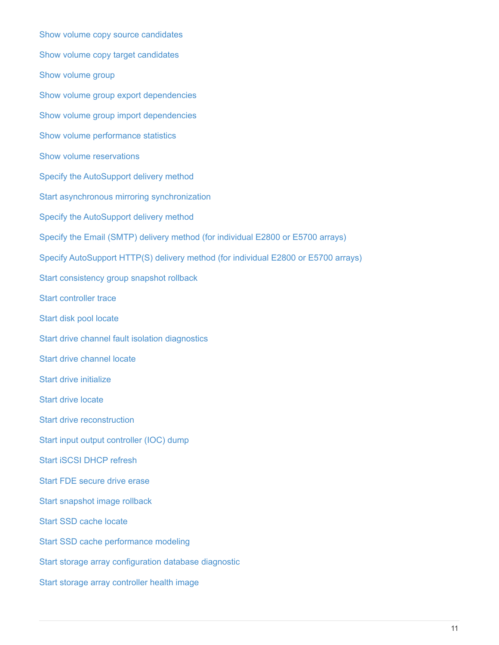[Show volume copy source candidates](https://docs.netapp.com/us-en/e-series-cli/commands-a-z/show-volumecopy-sourcecandidates.html) [Show volume copy target candidates](https://docs.netapp.com/us-en/e-series-cli/commands-a-z/show-volumecopy-source-targetcandidates.html) [Show volume group](https://docs.netapp.com/us-en/e-series-cli/commands-a-z/show-volumegroup.html) [Show volume group export dependencies](https://docs.netapp.com/us-en/e-series-cli/commands-a-z/show-volumegroup-exportdependencies.html) [Show volume group import dependencies](https://docs.netapp.com/us-en/e-series-cli/commands-a-z/show-volumegroup-importdependencies.html) [Show volume performance statistics](https://docs.netapp.com/us-en/e-series-cli/commands-a-z/show-volume-performancestats.html) [Show volume reservations](https://docs.netapp.com/us-en/e-series-cli/commands-a-z/show-volume-reservations.html) [Specify the AutoSupport delivery method](https://docs.netapp.com/us-en/e-series-cli/commands-a-z/smcli-autosupportconfig.html) [Start asynchronous mirroring synchronization](https://docs.netapp.com/us-en/e-series-cli/commands-a-z/start-asyncmirrorgroup-synchronize.html) [Specify the AutoSupport delivery method](https://docs.netapp.com/us-en/e-series-cli/commands-a-z/smcli-autosupportconfig.html) [Specify the Email \(SMTP\) delivery method \(for individual E2800 or E5700 arrays\)](https://docs.netapp.com/us-en/e-series-cli/commands-a-z/set-email-smtp-delivery-method-e2800-e5700.html) [Specify AutoSupport HTTP\(S\) delivery method \(for individual E2800 or E5700 arrays\)](https://docs.netapp.com/us-en/e-series-cli/commands-a-z/set-autosupport-https-delivery-method-e2800-e5700.html) [Start consistency group snapshot rollback](https://docs.netapp.com/us-en/e-series-cli/commands-a-z/start-cgsnapimage-rollback.html) [Start controller trace](https://docs.netapp.com/us-en/e-series-cli/commands-a-z/start-controller.html) [Start disk pool locate](https://docs.netapp.com/us-en/e-series-cli/commands-a-z/start-diskpool-locate.html) [Start drive channel fault isolation diagnostics](https://docs.netapp.com/us-en/e-series-cli/commands-a-z/start-drivechannel-faultdiagnostics.html) [Start drive channel locate](https://docs.netapp.com/us-en/e-series-cli/commands-a-z/start-drivechannel-locate.html) [Start drive initialize](https://docs.netapp.com/us-en/e-series-cli/commands-a-z/start-drive-initialize.html) [Start drive locate](https://docs.netapp.com/us-en/e-series-cli/commands-a-z/start-drive-locate.html) [Start drive reconstruction](https://docs.netapp.com/us-en/e-series-cli/commands-a-z/start-drive-reconstruct.html) [Start input output controller \(IOC\) dump](https://docs.netapp.com/us-en/e-series-cli/commands-a-z/start-ioclog.html) [Start iSCSI DHCP refresh](https://docs.netapp.com/us-en/e-series-cli/commands-a-z/start-controller-iscsihostport-dhcprefresh.html) [Start FDE secure drive erase](https://docs.netapp.com/us-en/e-series-cli/commands-a-z/start-secureerase-drive.html) [Start snapshot image rollback](https://docs.netapp.com/us-en/e-series-cli/commands-a-z/start-snapimage-rollback.html) [Start SSD cache locate](https://docs.netapp.com/us-en/e-series-cli/commands-a-z/start-ssdcache-locate.html) [Start SSD cache performance modeling](https://docs.netapp.com/us-en/e-series-cli/commands-a-z/start-ssdcache-performancemodeling.html) [Start storage array configuration database diagnostic](https://docs.netapp.com/us-en/e-series-cli/commands-a-z/start-storagearray-configdbdiagnostic.html) [Start storage array controller health image](https://docs.netapp.com/us-en/e-series-cli/commands-a-z/start-storagearray-controllerhealthimage-controller.html)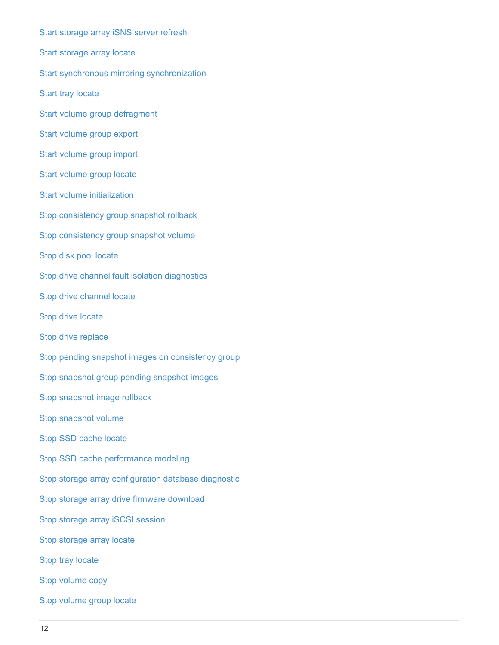[Start storage array iSNS server refresh](https://docs.netapp.com/us-en/e-series-cli/commands-a-z/start-storagearray-isnsserverrefresh.html) [Start storage array locate](https://docs.netapp.com/us-en/e-series-cli/commands-a-z/start-storagearray-locate.html) [Start synchronous mirroring synchronization](https://docs.netapp.com/us-en/e-series-cli/commands-a-z/start-syncmirror-primary-synchronize.html) [Start tray locate](https://docs.netapp.com/us-en/e-series-cli/commands-a-z/start-tray-locate.html) [Start volume group defragment](https://docs.netapp.com/us-en/e-series-cli/commands-a-z/start-volumegroup-defragment.html) [Start volume group export](https://docs.netapp.com/us-en/e-series-cli/commands-a-z/start-volumegroup-export.html) [Start volume group import](https://docs.netapp.com/us-en/e-series-cli/commands-a-z/start-volumegroup-import.html) [Start volume group locate](https://docs.netapp.com/us-en/e-series-cli/commands-a-z/start-volumegroup-locate.html) [Start volume initialization](https://docs.netapp.com/us-en/e-series-cli/commands-a-z/start-volume-initialization.html) [Stop consistency group snapshot rollback](https://docs.netapp.com/us-en/e-series-cli/commands-a-z/stop-cgsnapimage-rollback.html) [Stop consistency group snapshot volume](https://docs.netapp.com/us-en/e-series-cli/commands-a-z/stop-cgsnapvolume.html) [Stop disk pool locate](https://docs.netapp.com/us-en/e-series-cli/commands-a-z/stop-diskpool-locate.html) [Stop drive channel fault isolation diagnostics](https://docs.netapp.com/us-en/e-series-cli/commands-a-z/stop-drivechannel-faultdiagnostics.html) [Stop drive channel locate](https://docs.netapp.com/us-en/e-series-cli/commands-a-z/stop-drivechannel-locate.html) [Stop drive locate](https://docs.netapp.com/us-en/e-series-cli/commands-a-z/stop-drive-locate.html) [Stop drive replace](https://docs.netapp.com/us-en/e-series-cli/commands-a-z/stop-drive-replace.html) [Stop pending snapshot images on consistency group](https://docs.netapp.com/us-en/e-series-cli/commands-a-z/stop-consistencygroup-pendingsnapimagecreation.html) [Stop snapshot group pending snapshot images](https://docs.netapp.com/us-en/e-series-cli/commands-a-z/stop-pendingsnapimagecreation.html) [Stop snapshot image rollback](https://docs.netapp.com/us-en/e-series-cli/commands-a-z/stop-snapimage-rollback.html) [Stop snapshot volume](https://docs.netapp.com/us-en/e-series-cli/commands-a-z/stop-snapvolume.html) [Stop SSD cache locate](https://docs.netapp.com/us-en/e-series-cli/commands-a-z/stop-ssdcache-locate.html) [Stop SSD cache performance modeling](https://docs.netapp.com/us-en/e-series-cli/commands-a-z/stop-ssdcache-performancemodeling.html) [Stop storage array configuration database diagnostic](https://docs.netapp.com/us-en/e-series-cli/commands-a-z/stop-storagearray-configdbdiagnostic.html) [Stop storage array drive firmware download](https://docs.netapp.com/us-en/e-series-cli/commands-a-z/stop-storagearray-drivefirmwaredownload.html) [Stop storage array iSCSI session](https://docs.netapp.com/us-en/e-series-cli/commands-a-z/stop-storagearray-iscsisession.html) [Stop storage array locate](https://docs.netapp.com/us-en/e-series-cli/commands-a-z/stop-storagearray-locate.html) [Stop tray locate](https://docs.netapp.com/us-en/e-series-cli/commands-a-z/stop-tray-locate.html) [Stop volume copy](https://docs.netapp.com/us-en/e-series-cli/commands-a-z/stop-volumecopy-target-source.html) [Stop volume group locate](https://docs.netapp.com/us-en/e-series-cli/commands-a-z/stop-volumegroup-locate.html)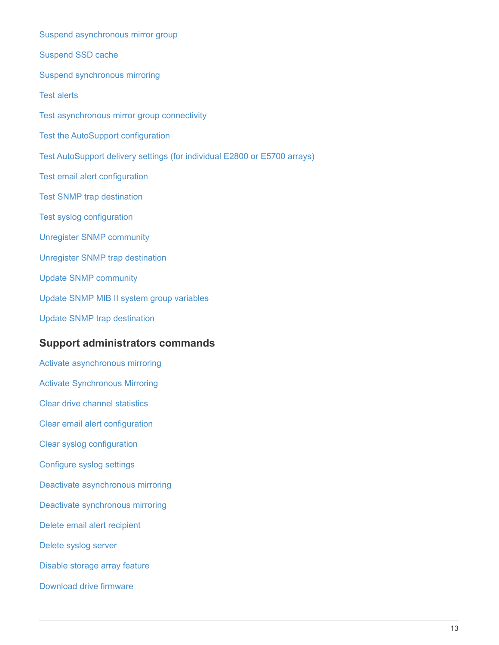[Suspend asynchronous mirror group](https://docs.netapp.com/us-en/e-series-cli/commands-a-z/suspend-asyncmirrorgroup.html) [Suspend SSD cache](https://docs.netapp.com/us-en/e-series-cli/commands-a-z/suspend-ssdcache.html) [Suspend synchronous mirroring](https://docs.netapp.com/us-en/e-series-cli/commands-a-z/suspend-syncmirror-primaries.html) [Test alerts](https://docs.netapp.com/us-en/e-series-cli/commands-a-z/smcli-alerttest.html) [Test asynchronous mirror group connectivity](https://docs.netapp.com/us-en/e-series-cli/commands-a-z/diagnose-asyncmirrorgroup.html) [Test the AutoSupport configuration](https://docs.netapp.com/us-en/e-series-cli/commands-a-z/smcli-autosupportconfig-test.html) [Test AutoSupport delivery settings \(for individual E2800 or E5700 arrays\)](https://docs.netapp.com/us-en/e-series-cli/commands-a-z/start-storagearray-autosupport-deliverytest.html) [Test email alert configuration](https://docs.netapp.com/us-en/e-series-cli/commands-a-z/start-emailalert-test.html) [Test SNMP trap destination](https://docs.netapp.com/us-en/e-series-cli/commands-a-z/start-snmptrapdestination.html) [Test syslog configuration](https://docs.netapp.com/us-en/e-series-cli/commands-a-z/start-syslog-test.html) [Unregister SNMP community](https://docs.netapp.com/us-en/e-series-cli/commands-a-z/delete-snmpcommunity.html) [Unregister SNMP trap destination](https://docs.netapp.com/us-en/e-series-cli/commands-a-z/delete-snmptrapdestination.html) [Update SNMP community](https://docs.netapp.com/us-en/e-series-cli/commands-a-z/set-snmpcommunity.html) [Update SNMP MIB II system group variables](https://docs.netapp.com/us-en/e-series-cli/commands-a-z/set-snmpsystemvariables.html) [Update SNMP trap destination](https://docs.netapp.com/us-en/e-series-cli/commands-a-z/set-snmptrapdestination-trapreceiverip.html) **Support administrators commands** [Activate asynchronous mirroring](https://docs.netapp.com/us-en/e-series-cli/commands-a-z/activate-asynchronous-mirroring.html) [Activate Synchronous Mirroring](https://docs.netapp.com/us-en/e-series-cli/commands-a-z/activate-synchronous-mirroring.html) [Clear drive channel statistics](https://docs.netapp.com/us-en/e-series-cli/commands-a-z/clear-alldrivechannels-stats.html) [Clear email alert configuration](https://docs.netapp.com/us-en/e-series-cli/commands-a-z/clear-emailalert-configuration.html) [Clear syslog configuration](https://docs.netapp.com/us-en/e-series-cli/commands-a-z/clear-syslog-configuration.html) [Configure syslog settings](https://docs.netapp.com/us-en/e-series-cli/commands-a-z/set-syslog.html) [Deactivate asynchronous mirroring](https://docs.netapp.com/us-en/e-series-cli/commands-a-z/deactivate-storagearray.html) [Deactivate synchronous mirroring](https://docs.netapp.com/us-en/e-series-cli/commands-a-z/deactivate-storagearray-feature.html) [Delete email alert recipient](https://docs.netapp.com/us-en/e-series-cli/commands-a-z/delete-emailalert.html) [Delete syslog server](https://docs.netapp.com/us-en/e-series-cli/commands-a-z/delete-syslog.html) [Disable storage array feature](https://docs.netapp.com/us-en/e-series-cli/commands-a-z/disable-storagearray.html)

[Download drive firmware](https://docs.netapp.com/us-en/e-series-cli/commands-a-z/download-drive-firmware.html)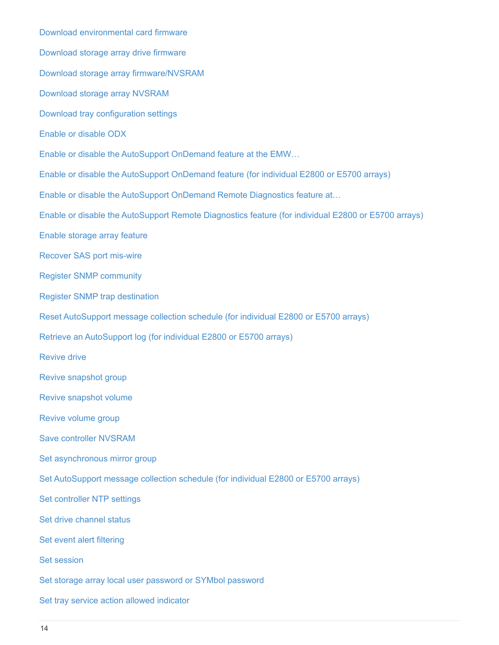[Download environmental card firmware](https://docs.netapp.com/us-en/e-series-cli/commands-a-z/download-tray-firmware-file.html) [Download storage array drive firmware](https://docs.netapp.com/us-en/e-series-cli/commands-a-z/download-storagearray-drivefirmware-file.html) [Download storage array firmware/NVSRAM](https://docs.netapp.com/us-en/e-series-cli/commands-a-z/download-storagearray-firmware.html) [Download storage array NVSRAM](https://docs.netapp.com/us-en/e-series-cli/commands-a-z/download-storagearray-nvsram.html) [Download tray configuration settings](https://docs.netapp.com/us-en/e-series-cli/commands-a-z/download-tray-configurationsettings.html) [Enable or disable ODX](https://docs.netapp.com/us-en/e-series-cli/commands-a-z/set-storagearray-odxenabled.html) [Enable or disable the AutoSupport OnDemand feature at the EMW…](https://docs.netapp.com/us-en/e-series-cli/commands-a-z/smcli-enable-disable-autosupportondemand.html) [Enable or disable the AutoSupport OnDemand feature \(for individual E2800 or E5700 arrays\)](https://docs.netapp.com/us-en/e-series-cli/commands-a-z/set-storagearray-autosupportondemand.html) [Enable or disable the AutoSupport OnDemand Remote Diagnostics feature at…](https://docs.netapp.com/us-en/e-series-cli/commands-a-z/smcli-enable-disable-autosupportremotediag.html) [Enable or disable the AutoSupport Remote Diagnostics feature \(for individual E2800 or E5700 arrays\)](https://docs.netapp.com/us-en/e-series-cli/commands-a-z/set-storagearray-autosupportremotediag.html) [Enable storage array feature](https://docs.netapp.com/us-en/e-series-cli/commands-a-z/enable-storagearray-feature-file.html) [Recover SAS port mis-wire](https://docs.netapp.com/us-en/e-series-cli/commands-a-z/recover-sasport-miswire.html) [Register SNMP community](https://docs.netapp.com/us-en/e-series-cli/commands-a-z/create-snmpcommunity.html) [Register SNMP trap destination](https://docs.netapp.com/us-en/e-series-cli/commands-a-z/create-snmptrapdestination.html) [Reset AutoSupport message collection schedule \(for individual E2800 or E5700 arrays\)](https://docs.netapp.com/us-en/e-series-cli/commands-a-z/reset-storagearray-autosupport-schedule.html) [Retrieve an AutoSupport log \(for individual E2800 or E5700 arrays\)](https://docs.netapp.com/us-en/e-series-cli/commands-a-z/save-storagearray-autosupport-log.html) [Revive drive](https://docs.netapp.com/us-en/e-series-cli/commands-a-z/revive-drive.html) [Revive snapshot group](https://docs.netapp.com/us-en/e-series-cli/commands-a-z/revive-snapgroup.html) [Revive snapshot volume](https://docs.netapp.com/us-en/e-series-cli/commands-a-z/revive-snapvolume.html) [Revive volume group](https://docs.netapp.com/us-en/e-series-cli/commands-a-z/revive-volumegroup.html) [Save controller NVSRAM](https://docs.netapp.com/us-en/e-series-cli/commands-a-z/save-controller-nvsram-file.html) [Set asynchronous mirror group](https://docs.netapp.com/us-en/e-series-cli/commands-a-z/set-asyncmirrorgroup.html) [Set AutoSupport message collection schedule \(for individual E2800 or E5700 arrays\)](https://docs.netapp.com/us-en/e-series-cli/commands-a-z/set-storagearray-autosupport-schedule.html) [Set controller NTP settings](https://docs.netapp.com/us-en/e-series-cli/commands-a-z/set-controller-ntpservers.html) [Set drive channel status](https://docs.netapp.com/us-en/e-series-cli/commands-a-z/set-drivechannel.html) [Set event alert filtering](https://docs.netapp.com/us-en/e-series-cli/commands-a-z/set-event-alert.html) [Set session](https://docs.netapp.com/us-en/e-series-cli/commands-a-z/set-session-erroraction.html) [Set storage array local user password or SYMbol password](https://docs.netapp.com/us-en/e-series-cli/commands-a-z/set-storagearray-localusername.html) [Set tray service action allowed indicator](https://docs.netapp.com/us-en/e-series-cli/commands-a-z/set-tray-serviceallowedindicator.html)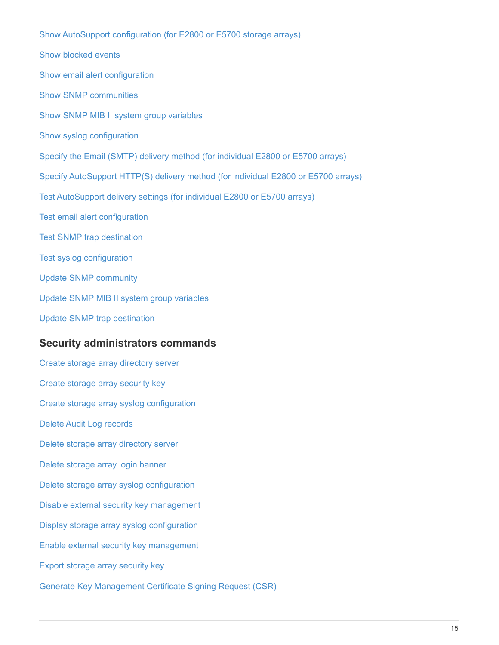[Show AutoSupport configuration \(for E2800 or E5700 storage arrays\)](https://docs.netapp.com/us-en/e-series-cli/commands-a-z/show-storagearray-autosupport.html) [Show blocked events](https://docs.netapp.com/us-en/e-series-cli/commands-a-z/show-blockedeventalertlist.html) [Show email alert configuration](https://docs.netapp.com/us-en/e-series-cli/commands-a-z/show-emailalert-summary.html) [Show SNMP communities](https://docs.netapp.com/us-en/e-series-cli/commands-a-z/show-allsnmpcommunities.html) [Show SNMP MIB II system group variables](https://docs.netapp.com/us-en/e-series-cli/commands-a-z/show-snmpsystemvariables.html) [Show syslog configuration](https://docs.netapp.com/us-en/e-series-cli/commands-a-z/show-syslog-summary.html) [Specify the Email \(SMTP\) delivery method \(for individual E2800 or E5700 arrays\)](https://docs.netapp.com/us-en/e-series-cli/commands-a-z/set-email-smtp-delivery-method-e2800-e5700.html) [Specify AutoSupport HTTP\(S\) delivery method \(for individual E2800 or E5700 arrays\)](https://docs.netapp.com/us-en/e-series-cli/commands-a-z/set-autosupport-https-delivery-method-e2800-e5700.html) [Test AutoSupport delivery settings \(for individual E2800 or E5700 arrays\)](https://docs.netapp.com/us-en/e-series-cli/commands-a-z/start-storagearray-autosupport-deliverytest.html) [Test email alert configuration](https://docs.netapp.com/us-en/e-series-cli/commands-a-z/start-emailalert-test.html) [Test SNMP trap destination](https://docs.netapp.com/us-en/e-series-cli/commands-a-z/start-snmptrapdestination.html) [Test syslog configuration](https://docs.netapp.com/us-en/e-series-cli/commands-a-z/start-syslog-test.html) [Update SNMP community](https://docs.netapp.com/us-en/e-series-cli/commands-a-z/set-snmpcommunity.html) [Update SNMP MIB II system group variables](https://docs.netapp.com/us-en/e-series-cli/commands-a-z/set-snmpsystemvariables.html) [Update SNMP trap destination](https://docs.netapp.com/us-en/e-series-cli/commands-a-z/set-snmptrapdestination-trapreceiverip.html)

#### **Security administrators commands**

[Create storage array directory server](https://docs.netapp.com/us-en/e-series-cli/commands-a-z/create-storagearray-directoryserver.html) [Create storage array security key](https://docs.netapp.com/us-en/e-series-cli/commands-a-z/create-storagearray-securitykey.html) [Create storage array syslog configuration](https://docs.netapp.com/us-en/e-series-cli/commands-a-z/create-storagearray-syslog.html) [Delete Audit Log records](https://docs.netapp.com/us-en/e-series-cli/commands-a-z/delete-auditlog.html) [Delete storage array directory server](https://docs.netapp.com/us-en/e-series-cli/commands-a-z/delete-storagearray-directoryservers.html) [Delete storage array login banner](https://docs.netapp.com/us-en/e-series-cli/commands-a-z/delete-storagearray-loginbanner.html) [Delete storage array syslog configuration](https://docs.netapp.com/us-en/e-series-cli/commands-a-z/delete-storagearray-syslog.html) [Disable external security key management](https://docs.netapp.com/us-en/e-series-cli/commands-a-z/disable-storagearray-externalkeymanagement-file.html) [Display storage array syslog configuration](https://docs.netapp.com/us-en/e-series-cli/commands-a-z/show-storagearray-syslog.html) [Enable external security key management](https://docs.netapp.com/us-en/e-series-cli/commands-a-z/enable-storagearray-externalkeymanagement-file.html) [Export storage array security key](https://docs.netapp.com/us-en/e-series-cli/commands-a-z/export-storagearray-securitykey.html) [Generate Key Management Certificate Signing Request \(CSR\)](https://docs.netapp.com/us-en/e-series-cli/commands-a-z/save-storagearray-keymanagementclientcsr.html)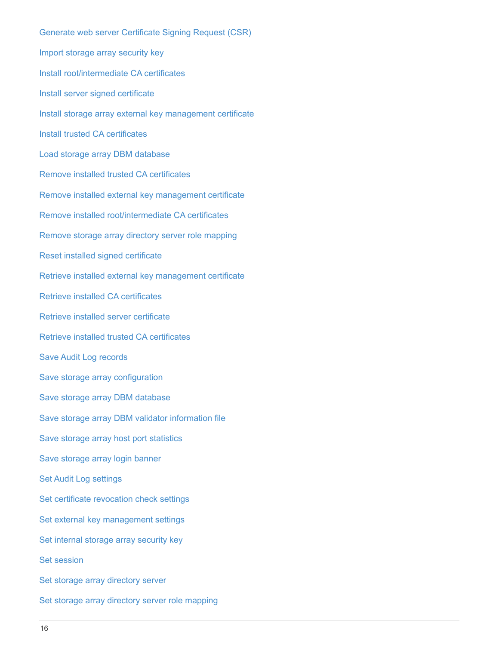[Generate web server Certificate Signing Request \(CSR\)](https://docs.netapp.com/us-en/e-series-cli/commands-a-z/save-controller-arraymanagementcsr.html) [Import storage array security key](https://docs.netapp.com/us-en/e-series-cli/commands-a-z/import-storagearray-securitykey-file.html) [Install root/intermediate CA certificates](https://docs.netapp.com/us-en/e-series-cli/commands-a-z/download-controller-cacertificate.html) [Install server signed certificate](https://docs.netapp.com/us-en/e-series-cli/commands-a-z/download-controller-arraymanagementservercertificate.html) [Install storage array external key management certificate](https://docs.netapp.com/us-en/e-series-cli/commands-a-z/download-storagearray-keymanagementcertificate.html) [Install trusted CA certificates](https://docs.netapp.com/us-en/e-series-cli/commands-a-z/download-controller-trustedcertificate.html) [Load storage array DBM database](https://docs.netapp.com/us-en/e-series-cli/commands-a-z/load-storagearray-dbmdatabase.html) [Remove installed trusted CA certificates](https://docs.netapp.com/us-en/e-series-cli/commands-a-z/delete-storagearray-trustedcertificate.html) [Remove installed external key management certificate](https://docs.netapp.com/us-en/e-series-cli/commands-a-z/delete-storagearray-keymanagementcertificate.html) [Remove installed root/intermediate CA certificates](https://docs.netapp.com/us-en/e-series-cli/commands-a-z/delete-controller-cacertificate.html) [Remove storage array directory server role mapping](https://docs.netapp.com/us-en/e-series-cli/commands-a-z/remove-storagearray-directoryserver.html) [Reset installed signed certificate](https://docs.netapp.com/us-en/e-series-cli/commands-a-z/reset-controller-arraymanagementsignedcertificate.html) [Retrieve installed external key management certificate](https://docs.netapp.com/us-en/e-series-cli/commands-a-z/save-storagearray-keymanagementcertificate.html) [Retrieve installed CA certificates](https://docs.netapp.com/us-en/e-series-cli/commands-a-z/save-controller-cacertificate.html) [Retrieve installed server certificate](https://docs.netapp.com/us-en/e-series-cli/commands-a-z/save-controller-arraymanagementsignedcertificate.html) [Retrieve installed trusted CA certificates](https://docs.netapp.com/us-en/e-series-cli/commands-a-z/save-storagearray-trustedcertificate.html) [Save Audit Log records](https://docs.netapp.com/us-en/e-series-cli/commands-a-z/save-auditlog.html) [Save storage array configuration](https://docs.netapp.com/us-en/e-series-cli/commands-a-z/save-storagearray-configuration.html) [Save storage array DBM database](https://docs.netapp.com/us-en/e-series-cli/commands-a-z/save-storagearray-dbmdatabase.html) [Save storage array DBM validator information file](https://docs.netapp.com/us-en/e-series-cli/commands-a-z/save-storagearray-dbmvalidatorinfo.html) [Save storage array host port statistics](https://docs.netapp.com/us-en/e-series-cli/commands-a-z/save-storagearray-hostportstatistics.html) [Save storage array login banner](https://docs.netapp.com/us-en/e-series-cli/commands-a-z/save-storagearray-loginbanner.html) [Set Audit Log settings](https://docs.netapp.com/us-en/e-series-cli/commands-a-z/set-auditlog.html) [Set certificate revocation check settings](https://docs.netapp.com/us-en/e-series-cli/commands-a-z/set-storagearray-revocationchecksettings.html) [Set external key management settings](https://docs.netapp.com/us-en/e-series-cli/commands-a-z/set-storagearray-externalkeymanagement.html) [Set internal storage array security key](https://docs.netapp.com/us-en/e-series-cli/commands-a-z/set-storagearray-securitykey.html) [Set session](https://docs.netapp.com/us-en/e-series-cli/commands-a-z/set-session-erroraction.html) [Set storage array directory server](https://docs.netapp.com/us-en/e-series-cli/commands-a-z/set-storagearray-directoryserver.html) [Set storage array directory server role mapping](https://docs.netapp.com/us-en/e-series-cli/commands-a-z/set-storagearray-directoryserver-roles.html)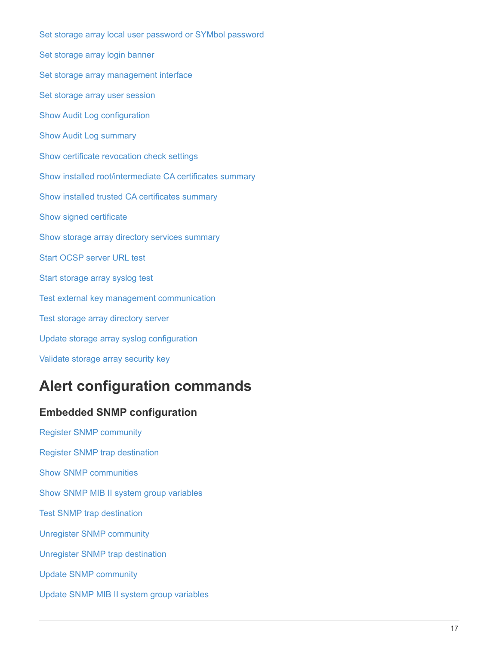[Set storage array local user password or SYMbol password](https://docs.netapp.com/us-en/e-series-cli/commands-a-z/set-storagearray-localusername.html) [Set storage array login banner](https://docs.netapp.com/us-en/e-series-cli/commands-a-z/set-storagearray-loginbanner.html) [Set storage array management interface](https://docs.netapp.com/us-en/e-series-cli/commands-a-z/set-storagearray-managementinterface.html) [Set storage array user session](https://docs.netapp.com/us-en/e-series-cli/commands-a-z/set-storagearray-usersession.html) [Show Audit Log configuration](https://docs.netapp.com/us-en/e-series-cli/commands-a-z/show-auditlog-configuration.html) [Show Audit Log summary](https://docs.netapp.com/us-en/e-series-cli/commands-a-z/show-auditlog-summary.html) [Show certificate revocation check settings](https://docs.netapp.com/us-en/e-series-cli/commands-a-z/show-storagearray-revocationchecksettings.html) [Show installed root/intermediate CA certificates summary](https://docs.netapp.com/us-en/e-series-cli/commands-a-z/show-controller-cacertificate.html) [Show installed trusted CA certificates summary](https://docs.netapp.com/us-en/e-series-cli/commands-a-z/show-storagearray-trustedcertificate-summary.html) [Show signed certificate](https://docs.netapp.com/us-en/e-series-cli/commands-a-z/show-controller-arraymanagementsignedcertificate-summary.html) [Show storage array directory services summary](https://docs.netapp.com/us-en/e-series-cli/commands-a-z/show-storagearray-directoryservices-summary.html) [Start OCSP server URL test](https://docs.netapp.com/us-en/e-series-cli/commands-a-z/start-storagearray-ocspresponderurl-test.html) [Start storage array syslog test](https://docs.netapp.com/us-en/e-series-cli/commands-a-z/start-storagearray-syslog-test.html) [Test external key management communication](https://docs.netapp.com/us-en/e-series-cli/commands-a-z/start-storagearray-externalkeymanagement-test.html) [Test storage array directory server](https://docs.netapp.com/us-en/e-series-cli/commands-a-z/start-storagearray-directoryservices-test.html) [Update storage array syslog configuration](https://docs.netapp.com/us-en/e-series-cli/commands-a-z/set-storagearray-syslog.html) [Validate storage array security key](https://docs.netapp.com/us-en/e-series-cli/commands-a-z/validate-storagearray-securitykey.html)

# <span id="page-18-0"></span>**Alert configuration commands**

# **Embedded SNMP configuration**

[Register SNMP community](https://docs.netapp.com/us-en/e-series-cli/commands-a-z/create-snmpcommunity.html) [Register SNMP trap destination](https://docs.netapp.com/us-en/e-series-cli/commands-a-z/create-snmptrapdestination.html) [Show SNMP communities](https://docs.netapp.com/us-en/e-series-cli/commands-a-z/show-allsnmpcommunities.html) [Show SNMP MIB II system group variables](https://docs.netapp.com/us-en/e-series-cli/commands-a-z/show-snmpsystemvariables.html) [Test SNMP trap destination](https://docs.netapp.com/us-en/e-series-cli/commands-a-z/start-snmptrapdestination.html) [Unregister SNMP community](https://docs.netapp.com/us-en/e-series-cli/commands-a-z/delete-snmpcommunity.html) [Unregister SNMP trap destination](https://docs.netapp.com/us-en/e-series-cli/commands-a-z/delete-snmptrapdestination.html) [Update SNMP community](https://docs.netapp.com/us-en/e-series-cli/commands-a-z/set-snmpcommunity.html) [Update SNMP MIB II system group variables](https://docs.netapp.com/us-en/e-series-cli/commands-a-z/set-snmpsystemvariables.html)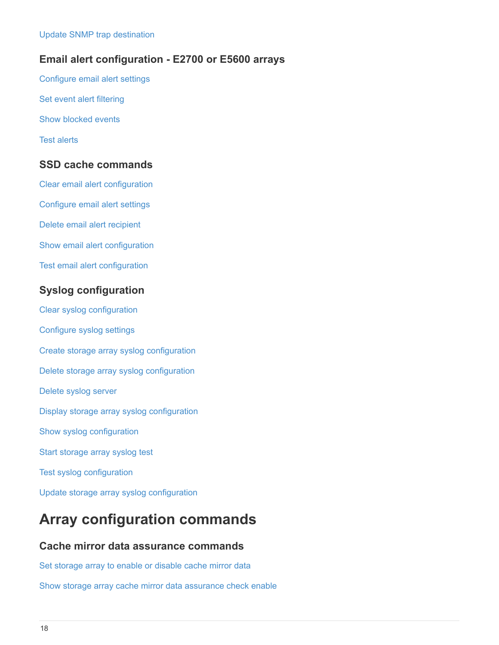### **Email alert configuration - E2700 or E5600 arrays**

[Configure email alert settings](https://docs.netapp.com/us-en/e-series-cli/commands-a-z/set-emailalert.html) [Set event alert filtering](https://docs.netapp.com/us-en/e-series-cli/commands-a-z/set-event-alert.html) [Show blocked events](https://docs.netapp.com/us-en/e-series-cli/commands-a-z/show-blockedeventalertlist.html) [Test alerts](https://docs.netapp.com/us-en/e-series-cli/commands-a-z/smcli-alerttest.html)

### **SSD cache commands**

[Clear email alert configuration](https://docs.netapp.com/us-en/e-series-cli/commands-a-z/clear-emailalert-configuration.html)

[Configure email alert settings](https://docs.netapp.com/us-en/e-series-cli/commands-a-z/set-emailalert.html)

[Delete email alert recipient](https://docs.netapp.com/us-en/e-series-cli/commands-a-z/delete-emailalert.html)

[Show email alert configuration](https://docs.netapp.com/us-en/e-series-cli/commands-a-z/show-emailalert-summary.html)

[Test email alert configuration](https://docs.netapp.com/us-en/e-series-cli/commands-a-z/start-emailalert-test.html)

# **Syslog configuration**

[Clear syslog configuration](https://docs.netapp.com/us-en/e-series-cli/commands-a-z/clear-syslog-configuration.html) [Configure syslog settings](https://docs.netapp.com/us-en/e-series-cli/commands-a-z/set-syslog.html) [Create storage array syslog configuration](https://docs.netapp.com/us-en/e-series-cli/commands-a-z/create-storagearray-syslog.html) [Delete storage array syslog configuration](https://docs.netapp.com/us-en/e-series-cli/commands-a-z/delete-storagearray-syslog.html) [Delete syslog server](https://docs.netapp.com/us-en/e-series-cli/commands-a-z/delete-syslog.html) [Display storage array syslog configuration](https://docs.netapp.com/us-en/e-series-cli/commands-a-z/show-storagearray-syslog.html) [Show syslog configuration](https://docs.netapp.com/us-en/e-series-cli/commands-a-z/show-syslog-summary.html) [Start storage array syslog test](https://docs.netapp.com/us-en/e-series-cli/commands-a-z/start-storagearray-syslog-test.html) [Test syslog configuration](https://docs.netapp.com/us-en/e-series-cli/commands-a-z/start-syslog-test.html) [Update storage array syslog configuration](https://docs.netapp.com/us-en/e-series-cli/commands-a-z/set-storagearray-syslog.html)

# <span id="page-19-0"></span>**Array configuration commands**

### **Cache mirror data assurance commands**

[Set storage array to enable or disable cache mirror data](https://docs.netapp.com/us-en/e-series-cli/commands-a-z/set-storagearray-cachemirrordataassurancecheckenable.html)

[Show storage array cache mirror data assurance check enable](https://docs.netapp.com/us-en/e-series-cli/commands-a-z/show-storagearray-cachemirrordataassurancecheckenable.html)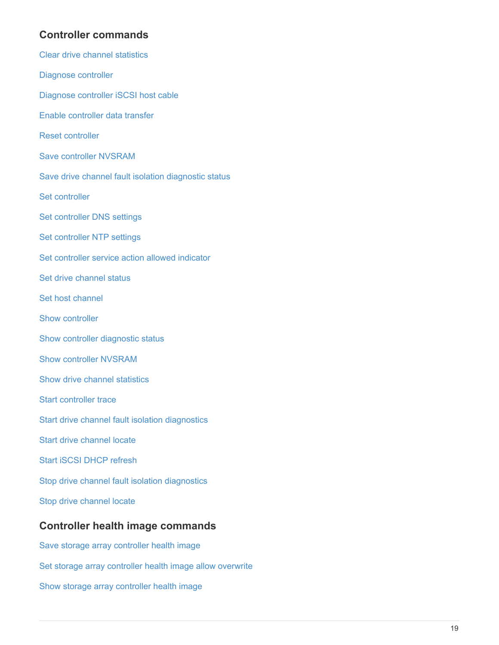### **Controller commands**

- [Clear drive channel statistics](https://docs.netapp.com/us-en/e-series-cli/commands-a-z/clear-alldrivechannels-stats.html)
- [Diagnose controller](https://docs.netapp.com/us-en/e-series-cli/commands-a-z/diagnose-controller.html)
- [Diagnose controller iSCSI host cable](https://docs.netapp.com/us-en/e-series-cli/commands-a-z/diagnose-controller-iscsihostport.html)
- [Enable controller data transfer](https://docs.netapp.com/us-en/e-series-cli/commands-a-z/enable-controller-datatransfer.html)
- [Reset controller](https://docs.netapp.com/us-en/e-series-cli/commands-a-z/reset-controller.html)
- [Save controller NVSRAM](https://docs.netapp.com/us-en/e-series-cli/commands-a-z/save-controller-nvsram-file.html)
- [Save drive channel fault isolation diagnostic status](https://docs.netapp.com/us-en/e-series-cli/commands-a-z/save-drivechannel-faultdiagnostics-file.html)
- [Set controller](https://docs.netapp.com/us-en/e-series-cli/commands-a-z/set-controller.html)
- [Set controller DNS settings](https://docs.netapp.com/us-en/e-series-cli/commands-a-z/set-controller-dnsservers.html)
- [Set controller NTP settings](https://docs.netapp.com/us-en/e-series-cli/commands-a-z/set-controller-ntpservers.html)
- [Set controller service action allowed indicator](https://docs.netapp.com/us-en/e-series-cli/commands-a-z/set-controller-service-action-allowed-indicator.html)
- [Set drive channel status](https://docs.netapp.com/us-en/e-series-cli/commands-a-z/set-drivechannel.html)
- [Set host channel](https://docs.netapp.com/us-en/e-series-cli/commands-a-z/set-hostchannel.html)
- [Show controller](https://docs.netapp.com/us-en/e-series-cli/commands-a-z/show-controller.html)
- [Show controller diagnostic status](https://docs.netapp.com/us-en/e-series-cli/commands-a-z/show-controller-diagnostic-status.html)
- [Show controller NVSRAM](https://docs.netapp.com/us-en/e-series-cli/commands-a-z/show-controller-nvsram.html)
- [Show drive channel statistics](https://docs.netapp.com/us-en/e-series-cli/commands-a-z/show-drivechannel-stats.html)
- [Start controller trace](https://docs.netapp.com/us-en/e-series-cli/commands-a-z/start-controller.html)
- [Start drive channel fault isolation diagnostics](https://docs.netapp.com/us-en/e-series-cli/commands-a-z/start-drivechannel-faultdiagnostics.html)
- [Start drive channel locate](https://docs.netapp.com/us-en/e-series-cli/commands-a-z/start-drivechannel-locate.html)
- [Start iSCSI DHCP refresh](https://docs.netapp.com/us-en/e-series-cli/commands-a-z/start-controller-iscsihostport-dhcprefresh.html)
- [Stop drive channel fault isolation diagnostics](https://docs.netapp.com/us-en/e-series-cli/commands-a-z/stop-drivechannel-faultdiagnostics.html)
- [Stop drive channel locate](https://docs.netapp.com/us-en/e-series-cli/commands-a-z/stop-drivechannel-locate.html)

# **Controller health image commands**

[Save storage array controller health image](https://docs.netapp.com/us-en/e-series-cli/commands-a-z/save-storagearray-controllerhealthimage.html) [Set storage array controller health image allow overwrite](https://docs.netapp.com/us-en/e-series-cli/commands-a-z/set-storagearray-controllerhealthimageallowoverwrite.html) [Show storage array controller health image](https://docs.netapp.com/us-en/e-series-cli/commands-a-z/show-storagearray-controllerhealthimage.html)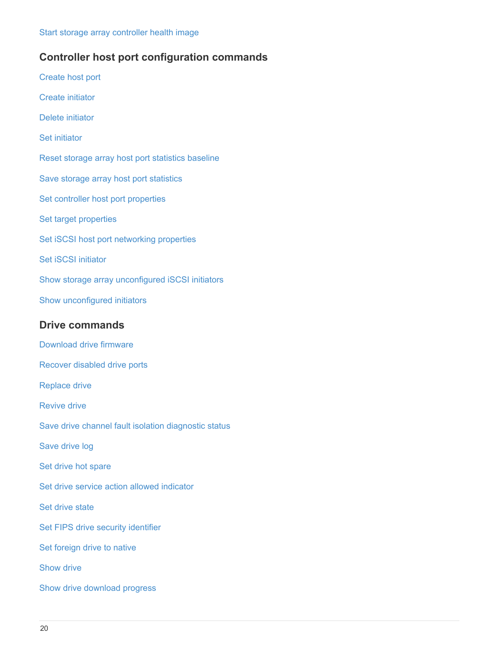### **Controller host port configuration commands**

[Create host port](https://docs.netapp.com/us-en/e-series-cli/commands-a-z/create-hostport.html) [Create initiator](https://docs.netapp.com/us-en/e-series-cli/commands-a-z/create-initiator.html) [Delete initiator](https://docs.netapp.com/us-en/e-series-cli/commands-a-z/delete-initiator.html) [Set initiator](https://docs.netapp.com/us-en/e-series-cli/commands-a-z/set-initiator.html) [Reset storage array host port statistics baseline](https://docs.netapp.com/us-en/e-series-cli/commands-a-z/reset-storagearray-hostportstatisticsbaseline.html) [Save storage array host port statistics](https://docs.netapp.com/us-en/e-series-cli/commands-a-z/save-storagearray-hostportstatistics.html) [Set controller host port properties](https://docs.netapp.com/us-en/e-series-cli/commands-a-z/set-controller-hostport.html) [Set target properties](https://docs.netapp.com/us-en/e-series-cli/commands-a-z/set-target.html) [Set iSCSI host port networking properties](https://docs.netapp.com/us-en/e-series-cli/commands-a-z/set-controller-iscsihostport.html) [Set iSCSI initiator](https://docs.netapp.com/us-en/e-series-cli/commands-a-z/set-iscsiinitiator.html) [Show storage array unconfigured iSCSI initiators](https://docs.netapp.com/us-en/e-series-cli/commands-a-z/show-storagearray-unconfigurediscsiinitiators.html) [Show unconfigured initiators](https://docs.netapp.com/us-en/e-series-cli/commands-a-z/show-storagearray-unconfiguredinitiators.html)

### **Drive commands**

[Download drive firmware](https://docs.netapp.com/us-en/e-series-cli/commands-a-z/download-drive-firmware.html) [Recover disabled drive ports](https://docs.netapp.com/us-en/e-series-cli/commands-a-z/recover-disabled-driveports.html) [Replace drive](https://docs.netapp.com/us-en/e-series-cli/commands-a-z/replace-drive-replacementdrive.html) [Revive drive](https://docs.netapp.com/us-en/e-series-cli/commands-a-z/revive-drive.html) [Save drive channel fault isolation diagnostic status](https://docs.netapp.com/us-en/e-series-cli/commands-a-z/save-drivechannel-faultdiagnostics-file.html) [Save drive log](https://docs.netapp.com/us-en/e-series-cli/commands-a-z/save-alldrives-logfile.html) [Set drive hot spare](https://docs.netapp.com/us-en/e-series-cli/commands-a-z/set-drive-hotspare.html) [Set drive service action allowed indicator](https://docs.netapp.com/us-en/e-series-cli/commands-a-z/set-drive-serviceallowedindicator.html) [Set drive state](https://docs.netapp.com/us-en/e-series-cli/commands-a-z/set-drive-operationalstate.html) [Set FIPS drive security identifier](https://docs.netapp.com/us-en/e-series-cli/commands-a-z/set-drive-securityid.html) [Set foreign drive to native](https://docs.netapp.com/us-en/e-series-cli/commands-a-z/set-drive-nativestate.html) [Show drive](https://docs.netapp.com/us-en/e-series-cli/commands-a-z/show-alldrives.html) [Show drive download progress](https://docs.netapp.com/us-en/e-series-cli/commands-a-z/show-alldrives-downloadprogress.html)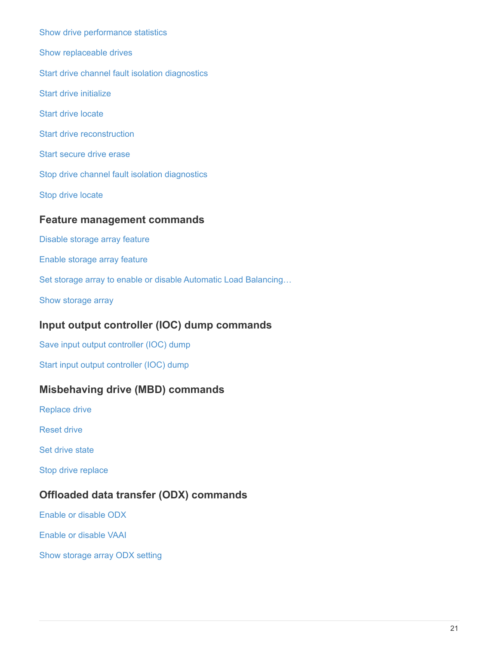[Show drive performance statistics](https://docs.netapp.com/us-en/e-series-cli/commands-a-z/show-alldrives-performancestats.html) [Show replaceable drives](https://docs.netapp.com/us-en/e-series-cli/commands-a-z/show-replaceabledrives.html) [Start drive channel fault isolation diagnostics](https://docs.netapp.com/us-en/e-series-cli/commands-a-z/start-drivechannel-faultdiagnostics.html) [Start drive initialize](https://docs.netapp.com/us-en/e-series-cli/commands-a-z/start-drive-initialize.html) [Start drive locate](https://docs.netapp.com/us-en/e-series-cli/commands-a-z/start-drive-locate.html) [Start drive reconstruction](https://docs.netapp.com/us-en/e-series-cli/commands-a-z/start-drive-reconstruct.html) [Start secure drive erase](https://docs.netapp.com/us-en/e-series-cli/commands-a-z/start-secureerase-drive.html) [Stop drive channel fault isolation diagnostics](https://docs.netapp.com/us-en/e-series-cli/commands-a-z/stop-drivechannel-faultdiagnostics.html) [Stop drive locate](https://docs.netapp.com/us-en/e-series-cli/commands-a-z/stop-drive-locate.html)

#### **Feature management commands**

[Disable storage array feature](https://docs.netapp.com/us-en/e-series-cli/commands-a-z/disable-storagearray.html)

[Enable storage array feature](https://docs.netapp.com/us-en/e-series-cli/commands-a-z/enable-storagearray-feature-file.html)

[Set storage array to enable or disable Automatic Load Balancing…](https://docs.netapp.com/us-en/e-series-cli/commands-a-z/set-storagearray-autoloadbalancingenable.html)

[Show storage array](https://docs.netapp.com/us-en/e-series-cli/commands-a-z/show-storagearray.html)

### **Input output controller (IOC) dump commands**

[Save input output controller \(IOC\) dump](https://docs.netapp.com/us-en/e-series-cli/commands-a-z/save-ioclog.html)

[Start input output controller \(IOC\) dump](https://docs.netapp.com/us-en/e-series-cli/commands-a-z/start-ioclog.html)

### **Misbehaving drive (MBD) commands**

[Replace drive](https://docs.netapp.com/us-en/e-series-cli/commands-a-z/replace-drive-replacementdrive.html)

[Reset drive](https://docs.netapp.com/us-en/e-series-cli/commands-a-z/reset-drive.html)

[Set drive state](https://docs.netapp.com/us-en/e-series-cli/commands-a-z/set-drive-operationalstate.html)

[Stop drive replace](https://docs.netapp.com/us-en/e-series-cli/commands-a-z/stop-drive-replace.html)

### **Offloaded data transfer (ODX) commands**

[Enable or disable ODX](https://docs.netapp.com/us-en/e-series-cli/commands-a-z/set-storagearray-odxenabled.html)

[Enable or disable VAAI](https://docs.netapp.com/us-en/e-series-cli/commands-a-z/set-storagearray-vaaienabled.html)

[Show storage array ODX setting](https://docs.netapp.com/us-en/e-series-cli/commands-a-z/show-storagearray-odxsetting.html)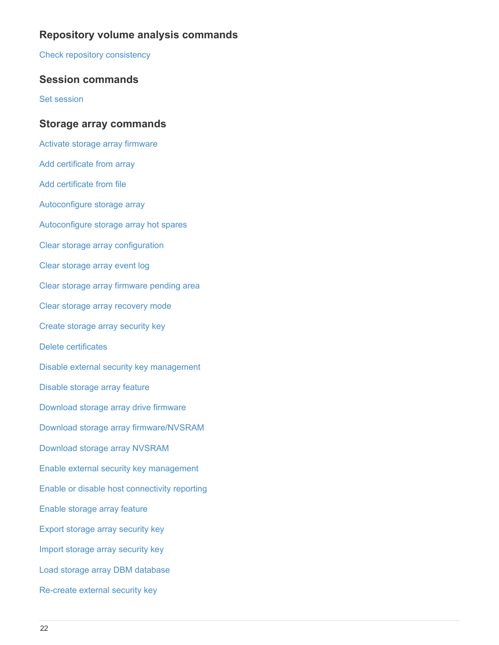# **Repository volume analysis commands**

[Check repository consistency](https://docs.netapp.com/us-en/e-series-cli/commands-a-z/check-repositoryconsistency.html)

### **Session commands**

[Set session](https://docs.netapp.com/us-en/e-series-cli/commands-a-z/set-session-erroraction.html)

#### **Storage array commands**

[Activate storage array firmware](https://docs.netapp.com/us-en/e-series-cli/commands-a-z/activate-storagearray-firmware.html) [Add certificate from array](https://docs.netapp.com/us-en/e-series-cli/commands-a-z/add-certificate-from-array.html) [Add certificate from file](https://docs.netapp.com/us-en/e-series-cli/commands-a-z/add-certificate-from-file.html) [Autoconfigure storage array](https://docs.netapp.com/us-en/e-series-cli/commands-a-z/autoconfigure-storagearray.html) [Autoconfigure storage array hot spares](https://docs.netapp.com/us-en/e-series-cli/commands-a-z/autoconfigure-storagearray-hotspares.html) [Clear storage array configuration](https://docs.netapp.com/us-en/e-series-cli/commands-a-z/clear-storagearray-configuration.html) [Clear storage array event log](https://docs.netapp.com/us-en/e-series-cli/commands-a-z/clear-storagearray-eventlog.html) [Clear storage array firmware pending area](https://docs.netapp.com/us-en/e-series-cli/commands-a-z/clear-storagearray-firmwarependingarea.html) [Clear storage array recovery mode](https://docs.netapp.com/us-en/e-series-cli/commands-a-z/clear-storagearray-recoverymode.html) [Create storage array security key](https://docs.netapp.com/us-en/e-series-cli/commands-a-z/create-storagearray-securitykey.html) [Delete certificates](https://docs.netapp.com/us-en/e-series-cli/commands-a-z/delete-certificates.html) [Disable external security key management](https://docs.netapp.com/us-en/e-series-cli/commands-a-z/disable-storagearray-externalkeymanagement-file.html) [Disable storage array feature](https://docs.netapp.com/us-en/e-series-cli/commands-a-z/disable-storagearray.html) [Download storage array drive firmware](https://docs.netapp.com/us-en/e-series-cli/commands-a-z/download-storagearray-drivefirmware-file.html) [Download storage array firmware/NVSRAM](https://docs.netapp.com/us-en/e-series-cli/commands-a-z/download-storagearray-firmware.html) [Download storage array NVSRAM](https://docs.netapp.com/us-en/e-series-cli/commands-a-z/download-storagearray-nvsram.html) [Enable external security key management](https://docs.netapp.com/us-en/e-series-cli/commands-a-z/enable-storagearray-externalkeymanagement-file.html) [Enable or disable host connectivity reporting](https://docs.netapp.com/us-en/e-series-cli/commands-a-z/set-storagearray-hostconnectivityreporting.html) [Enable storage array feature](https://docs.netapp.com/us-en/e-series-cli/commands-a-z/enable-storagearray-feature-file.html) [Export storage array security key](https://docs.netapp.com/us-en/e-series-cli/commands-a-z/export-storagearray-securitykey.html) [Import storage array security key](https://docs.netapp.com/us-en/e-series-cli/commands-a-z/import-storagearray-securitykey-file.html) [Load storage array DBM database](https://docs.netapp.com/us-en/e-series-cli/commands-a-z/load-storagearray-dbmdatabase.html) [Re-create external security key](https://docs.netapp.com/us-en/e-series-cli/commands-a-z/recreate-storagearray-securitykey.html)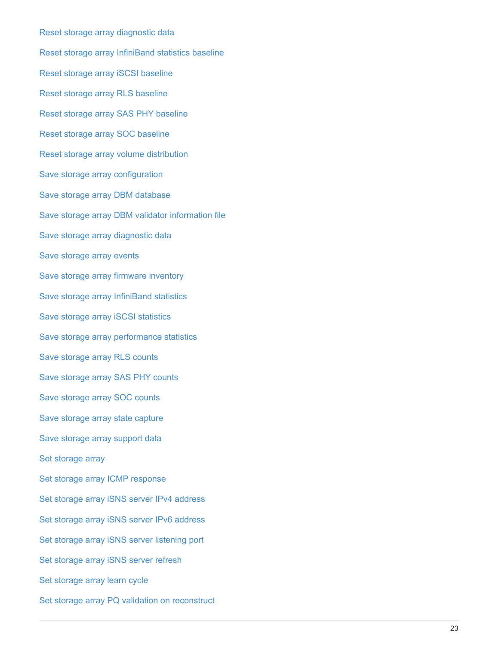[Reset storage array diagnostic data](https://docs.netapp.com/us-en/e-series-cli/commands-a-z/reset-storagearray-diagnosticdata.html) [Reset storage array InfiniBand statistics baseline](https://docs.netapp.com/us-en/e-series-cli/commands-a-z/reset-storagearray-ibstatsbaseline.html) [Reset storage array iSCSI baseline](https://docs.netapp.com/us-en/e-series-cli/commands-a-z/reset-storagearray-iscsistatsbaseline.html) [Reset storage array RLS baseline](https://docs.netapp.com/us-en/e-series-cli/commands-a-z/reset-storagearray-rlsbaseline.html) [Reset storage array SAS PHY baseline](https://docs.netapp.com/us-en/e-series-cli/commands-a-z/reset-storagearray-sasphybaseline.html) [Reset storage array SOC baseline](https://docs.netapp.com/us-en/e-series-cli/commands-a-z/reset-storagearray-socbaseline.html) [Reset storage array volume distribution](https://docs.netapp.com/us-en/e-series-cli/commands-a-z/reset-storagearray-volumedistribution.html) [Save storage array configuration](https://docs.netapp.com/us-en/e-series-cli/commands-a-z/save-storagearray-configuration.html) [Save storage array DBM database](https://docs.netapp.com/us-en/e-series-cli/commands-a-z/save-storagearray-dbmdatabase.html) [Save storage array DBM validator information file](https://docs.netapp.com/us-en/e-series-cli/commands-a-z/save-storagearray-dbmvalidatorinfo.html) [Save storage array diagnostic data](https://docs.netapp.com/us-en/e-series-cli/commands-a-z/save-storage-array-diagnostic-data.html) [Save storage array events](https://docs.netapp.com/us-en/e-series-cli/commands-a-z/save-storagearray-warningevents.html) [Save storage array firmware inventory](https://docs.netapp.com/us-en/e-series-cli/commands-a-z/save-storagearray-firmwareinventory.html) [Save storage array InfiniBand statistics](https://docs.netapp.com/us-en/e-series-cli/commands-a-z/save-storagearray-ibstats.html) [Save storage array iSCSI statistics](https://docs.netapp.com/us-en/e-series-cli/commands-a-z/save-storagearray-iscsistatistics.html) [Save storage array performance statistics](https://docs.netapp.com/us-en/e-series-cli/commands-a-z/save-storagearray-performancestats.html) [Save storage array RLS counts](https://docs.netapp.com/us-en/e-series-cli/commands-a-z/save-storagearray-rlscounts.html) [Save storage array SAS PHY counts](https://docs.netapp.com/us-en/e-series-cli/commands-a-z/save-storagearray-sasphycounts.html) [Save storage array SOC counts](https://docs.netapp.com/us-en/e-series-cli/commands-a-z/save-storagearray-soccounts.html) [Save storage array state capture](https://docs.netapp.com/us-en/e-series-cli/commands-a-z/save-storagearray-statecapture.html) [Save storage array support data](https://docs.netapp.com/us-en/e-series-cli/commands-a-z/save-storagearray-supportdata.html) [Set storage array](https://docs.netapp.com/us-en/e-series-cli/commands-a-z/set-storagearray.html) [Set storage array ICMP response](https://docs.netapp.com/us-en/e-series-cli/commands-a-z/set-storagearray-icmppingresponse.html) [Set storage array iSNS server IPv4 address](https://docs.netapp.com/us-en/e-series-cli/commands-a-z/set-storagearray-isnsipv4configurationmethod.html) [Set storage array iSNS server IPv6 address](https://docs.netapp.com/us-en/e-series-cli/commands-a-z/set-storagearray-isnsipv6address.html) [Set storage array iSNS server listening port](https://docs.netapp.com/us-en/e-series-cli/commands-a-z/set-storagearray-isnslisteningport.html) [Set storage array iSNS server refresh](https://docs.netapp.com/us-en/e-series-cli/commands-a-z/set-storagearray-isnsserverrefresh.html) [Set storage array learn cycle](https://docs.netapp.com/us-en/e-series-cli/commands-a-z/set-storagearray-learncycledate-controller.html) [Set storage array PQ validation on reconstruct](https://docs.netapp.com/us-en/e-series-cli/commands-a-z/set-storagearray-pqvalidateonreconstruct.html)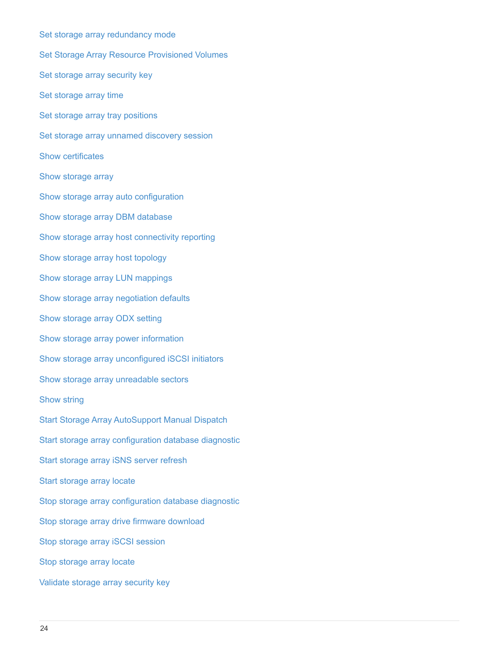[Set storage array redundancy mode](https://docs.netapp.com/us-en/e-series-cli/commands-a-z/set-storagearray-redundancymode.html) [Set Storage Array Resource Provisioned Volumes](https://docs.netapp.com/us-en/e-series-cli/commands-a-z/set-storagearray-resourceprovisionedvolumes.html) [Set storage array security key](https://docs.netapp.com/us-en/e-series-cli/commands-a-z/set-storagearray-securitykey.html) [Set storage array time](https://docs.netapp.com/us-en/e-series-cli/commands-a-z/set-storagearray-time.html) [Set storage array tray positions](https://docs.netapp.com/us-en/e-series-cli/commands-a-z/set-storagearray-traypositions.html) [Set storage array unnamed discovery session](https://docs.netapp.com/us-en/e-series-cli/commands-a-z/set-storagearray-unnameddiscoverysession.html) [Show certificates](https://docs.netapp.com/us-en/e-series-cli/commands-a-z/show-certificates.html) [Show storage array](https://docs.netapp.com/us-en/e-series-cli/commands-a-z/show-storagearray.html) [Show storage array auto configuration](https://docs.netapp.com/us-en/e-series-cli/commands-a-z/show-storagearray-autoconfiguration.html) [Show storage array DBM database](https://docs.netapp.com/us-en/e-series-cli/commands-a-z/show-storagearray-dbmdatabase.html) [Show storage array host connectivity reporting](https://docs.netapp.com/us-en/e-series-cli/commands-a-z/show-storagearray-hostconnectivityreporting.html) [Show storage array host topology](https://docs.netapp.com/us-en/e-series-cli/commands-a-z/show-storagearray-hosttopology.html) [Show storage array LUN mappings](https://docs.netapp.com/us-en/e-series-cli/commands-a-z/show-storagearray-lunmappings.html) [Show storage array negotiation defaults](https://docs.netapp.com/us-en/e-series-cli/commands-a-z/show-storagearray-iscsinegotiationdefaults.html) [Show storage array ODX setting](https://docs.netapp.com/us-en/e-series-cli/commands-a-z/show-storagearray-odxsetting.html) [Show storage array power information](https://docs.netapp.com/us-en/e-series-cli/commands-a-z/show-storagearray-powerinfo.html) [Show storage array unconfigured iSCSI initiators](https://docs.netapp.com/us-en/e-series-cli/commands-a-z/show-storagearray-unconfigurediscsiinitiators.html) [Show storage array unreadable sectors](https://docs.netapp.com/us-en/e-series-cli/commands-a-z/show-storagearray-unreadablesectors.html) [Show string](https://docs.netapp.com/us-en/e-series-cli/commands-a-z/show-textstring.html) [Start Storage Array AutoSupport Manual Dispatch](https://docs.netapp.com/us-en/e-series-cli/commands-a-z/start-storagearray-autosupport-manualdispatch.html) [Start storage array configuration database diagnostic](https://docs.netapp.com/us-en/e-series-cli/commands-a-z/start-storagearray-configdbdiagnostic.html) [Start storage array iSNS server refresh](https://docs.netapp.com/us-en/e-series-cli/commands-a-z/start-storagearray-isnsserverrefresh.html) [Start storage array locate](https://docs.netapp.com/us-en/e-series-cli/commands-a-z/start-storagearray-locate.html) [Stop storage array configuration database diagnostic](https://docs.netapp.com/us-en/e-series-cli/commands-a-z/stop-storagearray-configdbdiagnostic.html) [Stop storage array drive firmware download](https://docs.netapp.com/us-en/e-series-cli/commands-a-z/stop-storagearray-drivefirmwaredownload.html) [Stop storage array iSCSI session](https://docs.netapp.com/us-en/e-series-cli/commands-a-z/stop-storagearray-iscsisession.html) [Stop storage array locate](https://docs.netapp.com/us-en/e-series-cli/commands-a-z/stop-storagearray-locate.html) [Validate storage array security key](https://docs.netapp.com/us-en/e-series-cli/commands-a-z/validate-storagearray-securitykey.html)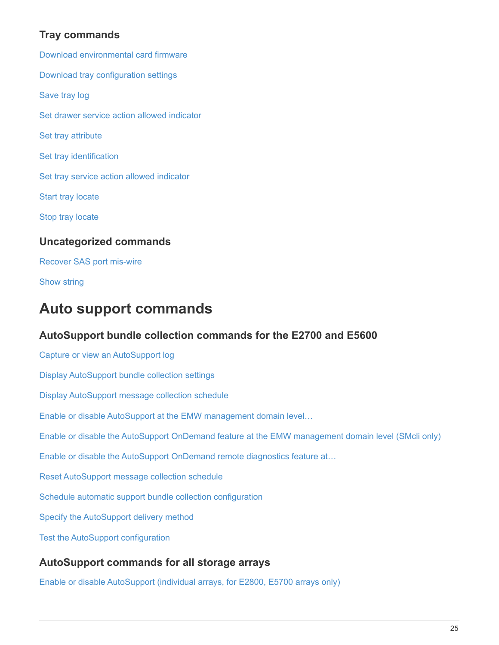# **Tray commands**

[Download environmental card firmware](https://docs.netapp.com/us-en/e-series-cli/commands-a-z/download-tray-firmware-file.html) [Download tray configuration settings](https://docs.netapp.com/us-en/e-series-cli/commands-a-z/download-tray-configurationsettings.html) [Save tray log](https://docs.netapp.com/us-en/e-series-cli/commands-a-z/save-alltrays-logfile.html) [Set drawer service action allowed indicator](https://docs.netapp.com/us-en/e-series-cli/commands-a-z/set-tray-drawer.html) [Set tray attribute](https://docs.netapp.com/us-en/e-series-cli/commands-a-z/set-tray-attribute.html) [Set tray identification](https://docs.netapp.com/us-en/e-series-cli/commands-a-z/set-tray-identification.html) [Set tray service action allowed indicator](https://docs.netapp.com/us-en/e-series-cli/commands-a-z/set-tray-serviceallowedindicator.html) [Start tray locate](https://docs.netapp.com/us-en/e-series-cli/commands-a-z/start-tray-locate.html) [Stop tray locate](https://docs.netapp.com/us-en/e-series-cli/commands-a-z/stop-tray-locate.html) **Uncategorized commands** [Recover SAS port mis-wire](https://docs.netapp.com/us-en/e-series-cli/commands-a-z/recover-sasport-miswire.html)

[Show string](https://docs.netapp.com/us-en/e-series-cli/commands-a-z/show-textstring.html)

# <span id="page-26-0"></span>**Auto support commands**

# **AutoSupport bundle collection commands for the E2700 and E5600**

[Capture or view an AutoSupport log](https://docs.netapp.com/us-en/e-series-cli/commands-a-z/smcli-autosupportlog.html) [Display AutoSupport bundle collection settings](https://docs.netapp.com/us-en/e-series-cli/commands-a-z/smcli-autosupportconfig-show.html) [Display AutoSupport message collection schedule](https://docs.netapp.com/us-en/e-series-cli/commands-a-z/smcli-autosupportschedule-show.html) [Enable or disable AutoSupport at the EMW management domain level…](https://docs.netapp.com/us-en/e-series-cli/commands-a-z/smcli-enable-autosupportfeature.html) [Enable or disable the AutoSupport OnDemand feature at the EMW management domain level \(SMcli only\)](https://docs.netapp.com/us-en/e-series-cli/commands-a-z/smcli-enable-disable-autosupportondemand.html) [Enable or disable the AutoSupport OnDemand remote diagnostics feature at…](https://docs.netapp.com/us-en/e-series-cli/commands-a-z/smcli-enable-disable-autosupportremotediag.html) [Reset AutoSupport message collection schedule](https://docs.netapp.com/us-en/e-series-cli/commands-a-z/smcli-autosupportschedule-reset.html) [Schedule automatic support bundle collection configuration](https://docs.netapp.com/us-en/e-series-cli/commands-a-z/smcli-supportbundle-schedule.html) [Specify the AutoSupport delivery method](https://docs.netapp.com/us-en/e-series-cli/commands-a-z/smcli-autosupportconfig.html) [Test the AutoSupport configuration](https://docs.netapp.com/us-en/e-series-cli/commands-a-z/smcli-autosupportconfig-test.html)

# **AutoSupport commands for all storage arrays**

[Enable or disable AutoSupport \(individual arrays, for E2800, E5700 arrays only\)](https://docs.netapp.com/us-en/e-series-cli/commands-a-z/enable-or-disable-autosupport-individual-arrays.html)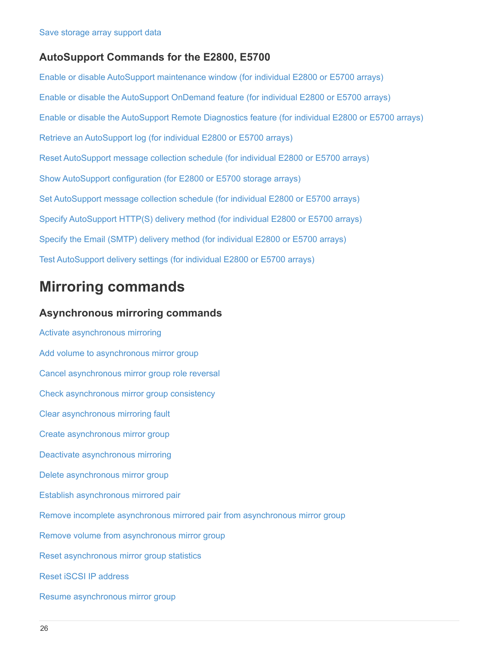### **AutoSupport Commands for the E2800, E5700**

[Enable or disable AutoSupport maintenance window \(for individual E2800 or E5700 arrays\)](https://docs.netapp.com/us-en/e-series-cli/commands-a-z/set-storagearray-autosupportmaintenancewindow.html) [Enable or disable the AutoSupport OnDemand feature \(for individual E2800 or E5700 arrays\)](https://docs.netapp.com/us-en/e-series-cli/commands-a-z/set-storagearray-autosupportondemand.html) [Enable or disable the AutoSupport Remote Diagnostics feature \(for individual E2800 or E5700 arrays\)](https://docs.netapp.com/us-en/e-series-cli/commands-a-z/set-storagearray-autosupportremotediag.html) [Retrieve an AutoSupport log \(for individual E2800 or E5700 arrays\)](https://docs.netapp.com/us-en/e-series-cli/commands-a-z/save-storagearray-autosupport-log.html) [Reset AutoSupport message collection schedule \(for individual E2800 or E5700 arrays\)](https://docs.netapp.com/us-en/e-series-cli/commands-a-z/reset-storagearray-autosupport-schedule.html) [Show AutoSupport configuration \(for E2800 or E5700 storage arrays\)](https://docs.netapp.com/us-en/e-series-cli/commands-a-z/show-storagearray-autosupport.html) [Set AutoSupport message collection schedule \(for individual E2800 or E5700 arrays\)](https://docs.netapp.com/us-en/e-series-cli/commands-a-z/set-storagearray-autosupport-schedule.html) [Specify AutoSupport HTTP\(S\) delivery method \(for individual E2800 or E5700 arrays\)](https://docs.netapp.com/us-en/e-series-cli/commands-a-z/set-autosupport-https-delivery-method-e2800-e5700.html) [Specify the Email \(SMTP\) delivery method \(for individual E2800 or E5700 arrays\)](https://docs.netapp.com/us-en/e-series-cli/commands-a-z/set-email-smtp-delivery-method-e2800-e5700.html) [Test AutoSupport delivery settings \(for individual E2800 or E5700 arrays\)](https://docs.netapp.com/us-en/e-series-cli/commands-a-z/start-storagearray-autosupport-deliverytest.html)

# <span id="page-27-0"></span>**Mirroring commands**

#### **Asynchronous mirroring commands**

[Activate asynchronous mirroring](https://docs.netapp.com/us-en/e-series-cli/commands-a-z/activate-asynchronous-mirroring.html) [Add volume to asynchronous mirror group](https://docs.netapp.com/us-en/e-series-cli/commands-a-z/add-volume-asyncmirrorgroup.html) [Cancel asynchronous mirror group role reversal](https://docs.netapp.com/us-en/e-series-cli/commands-a-z/stop-asyncmirrorgroup-rolechange.html) [Check asynchronous mirror group consistency](https://docs.netapp.com/us-en/e-series-cli/commands-a-z/check-asyncmirrorgroup-repositoryconsistency.html) [Clear asynchronous mirroring fault](https://docs.netapp.com/us-en/e-series-cli/commands-a-z/clear-asyncmirrorfault.html) [Create asynchronous mirror group](https://docs.netapp.com/us-en/e-series-cli/commands-a-z/create-asyncmirrorgroup.html) [Deactivate asynchronous mirroring](https://docs.netapp.com/us-en/e-series-cli/commands-a-z/deactivate-storagearray.html) [Delete asynchronous mirror group](https://docs.netapp.com/us-en/e-series-cli/commands-a-z/delete-asyncmirrorgroup.html) [Establish asynchronous mirrored pair](https://docs.netapp.com/us-en/e-series-cli/commands-a-z/establish-asyncmirror-volume.html) [Remove incomplete asynchronous mirrored pair from asynchronous mirror group](https://docs.netapp.com/us-en/e-series-cli/commands-a-z/remove-asyncmirrorgroup.html) [Remove volume from asynchronous mirror group](https://docs.netapp.com/us-en/e-series-cli/commands-a-z/remove-volume-asyncmirrorgroup.html) [Reset asynchronous mirror group statistics](https://docs.netapp.com/us-en/e-series-cli/commands-a-z/reset-storagearray-arvmstats-asyncmirrorgroup.html) [Reset iSCSI IP address](https://docs.netapp.com/us-en/e-series-cli/commands-a-z/reset-iscsiipaddress.html) [Resume asynchronous mirror group](https://docs.netapp.com/us-en/e-series-cli/commands-a-z/resume-asyncmirrorgroup.html)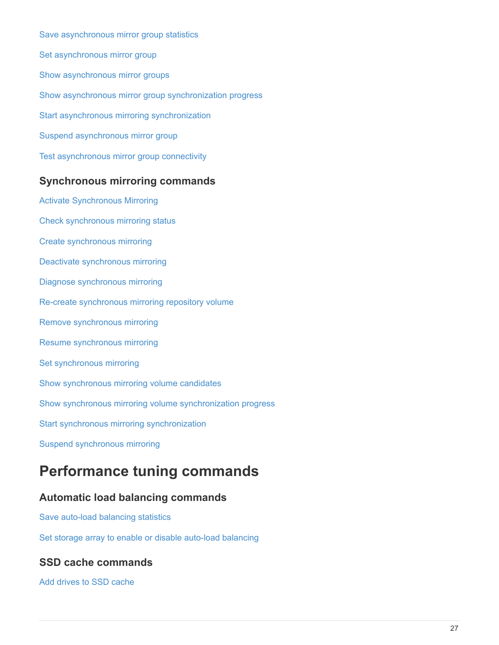[Save asynchronous mirror group statistics](https://docs.netapp.com/us-en/e-series-cli/commands-a-z/save-storagearray-arvmstats-asyncmirrorgroup.html) [Set asynchronous mirror group](https://docs.netapp.com/us-en/e-series-cli/commands-a-z/set-asyncmirrorgroup.html) [Show asynchronous mirror groups](https://docs.netapp.com/us-en/e-series-cli/commands-a-z/show-asyncmirrorgroup-summary.html) [Show asynchronous mirror group synchronization progress](https://docs.netapp.com/us-en/e-series-cli/commands-a-z/show-asyncmirrorgroup-synchronizationprogress.html) [Start asynchronous mirroring synchronization](https://docs.netapp.com/us-en/e-series-cli/commands-a-z/start-asyncmirrorgroup-synchronize.html) [Suspend asynchronous mirror group](https://docs.netapp.com/us-en/e-series-cli/commands-a-z/suspend-asyncmirrorgroup.html) [Test asynchronous mirror group connectivity](https://docs.netapp.com/us-en/e-series-cli/commands-a-z/diagnose-asyncmirrorgroup.html)

### **Synchronous mirroring commands**

[Activate Synchronous Mirroring](https://docs.netapp.com/us-en/e-series-cli/commands-a-z/activate-synchronous-mirroring.html) [Check synchronous mirroring status](https://docs.netapp.com/us-en/e-series-cli/commands-a-z/check-syncmirror.html) [Create synchronous mirroring](https://docs.netapp.com/us-en/e-series-cli/commands-a-z/create-syncmirror.html) [Deactivate synchronous mirroring](https://docs.netapp.com/us-en/e-series-cli/commands-a-z/deactivate-storagearray-feature.html) [Diagnose synchronous mirroring](https://docs.netapp.com/us-en/e-series-cli/commands-a-z/diagnose-syncmirror.html) [Re-create synchronous mirroring repository volume](https://docs.netapp.com/us-en/e-series-cli/commands-a-z/recreate-storagearray-mirrorrepository.html) [Remove synchronous mirroring](https://docs.netapp.com/us-en/e-series-cli/commands-a-z/remove-syncmirror.html) [Resume synchronous mirroring](https://docs.netapp.com/us-en/e-series-cli/commands-a-z/resume-syncmirror.html) [Set synchronous mirroring](https://docs.netapp.com/us-en/e-series-cli/commands-a-z/set-syncmirror.html) [Show synchronous mirroring volume candidates](https://docs.netapp.com/us-en/e-series-cli/commands-a-z/show-syncmirror-candidates.html) [Show synchronous mirroring volume synchronization progress](https://docs.netapp.com/us-en/e-series-cli/commands-a-z/show-syncmirror-synchronizationprogress.html) [Start synchronous mirroring synchronization](https://docs.netapp.com/us-en/e-series-cli/commands-a-z/start-syncmirror-primary-synchronize.html) [Suspend synchronous mirroring](https://docs.netapp.com/us-en/e-series-cli/commands-a-z/suspend-syncmirror-primaries.html)

# <span id="page-28-0"></span>**Performance tuning commands**

# **Automatic load balancing commands**

[Save auto-load balancing statistics](https://docs.netapp.com/us-en/e-series-cli/commands-a-z/save-storagearray-autoloadbalancestatistics-file.html)

[Set storage array to enable or disable auto-load balancing](https://docs.netapp.com/us-en/e-series-cli/commands-a-z/set-storagearray-autoloadbalancingenable.html)

# **SSD cache commands**

[Add drives to SSD cache](https://docs.netapp.com/us-en/e-series-cli/commands-a-z/add-drives-to-ssd-cache.html)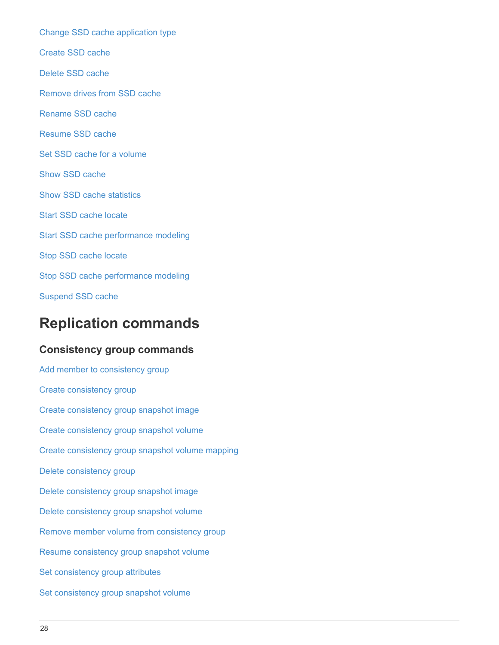[Change SSD cache application type](https://docs.netapp.com/us-en/e-series-cli/commands-a-z/change-ssd-cache-application-type.html) [Create SSD cache](https://docs.netapp.com/us-en/e-series-cli/commands-a-z/create-ssdcache.html) [Delete SSD cache](https://docs.netapp.com/us-en/e-series-cli/commands-a-z/delete-ssdcache.html) [Remove drives from SSD cache](https://docs.netapp.com/us-en/e-series-cli/commands-a-z/remove-drives-from-ssd-cache.html) [Rename SSD cache](https://docs.netapp.com/us-en/e-series-cli/commands-a-z/rename-ssd-cache.html) [Resume SSD cache](https://docs.netapp.com/us-en/e-series-cli/commands-a-z/resume-ssdcache.html) [Set SSD cache for a volume](https://docs.netapp.com/us-en/e-series-cli/commands-a-z/set-volume-ssdcacheenabled.html) [Show SSD cache](https://docs.netapp.com/us-en/e-series-cli/commands-a-z/show-ssd-cache.html) [Show SSD cache statistics](https://docs.netapp.com/us-en/e-series-cli/commands-a-z/show-ssd-cache-statistics.html) [Start SSD cache locate](https://docs.netapp.com/us-en/e-series-cli/commands-a-z/start-ssdcache-locate.html) [Start SSD cache performance modeling](https://docs.netapp.com/us-en/e-series-cli/commands-a-z/start-ssdcache-performancemodeling.html) [Stop SSD cache locate](https://docs.netapp.com/us-en/e-series-cli/commands-a-z/stop-ssdcache-locate.html) [Stop SSD cache performance modeling](https://docs.netapp.com/us-en/e-series-cli/commands-a-z/stop-ssdcache-performancemodeling.html) [Suspend SSD cache](https://docs.netapp.com/us-en/e-series-cli/commands-a-z/suspend-ssdcache.html)

# <span id="page-29-0"></span>**Replication commands**

# **Consistency group commands**

[Add member to consistency group](https://docs.netapp.com/us-en/e-series-cli/commands-a-z/set-consistencygroup-addcgmembervolume.html) [Create consistency group](https://docs.netapp.com/us-en/e-series-cli/commands-a-z/create-consistencygroup.html) [Create consistency group snapshot image](https://docs.netapp.com/us-en/e-series-cli/commands-a-z/create-cgsnapimage-consistencygroup.html) [Create consistency group snapshot volume](https://docs.netapp.com/us-en/e-series-cli/commands-a-z/create-cgsnapvolume.html) [Create consistency group snapshot volume mapping](https://docs.netapp.com/us-en/e-series-cli/commands-a-z/create-mapping-cgsnapvolume.html) [Delete consistency group](https://docs.netapp.com/us-en/e-series-cli/commands-a-z/delete-consistencygroup.html) [Delete consistency group snapshot image](https://docs.netapp.com/us-en/e-series-cli/commands-a-z/delete-cgsnapimage-consistencygroup.html) [Delete consistency group snapshot volume](https://docs.netapp.com/us-en/e-series-cli/commands-a-z/delete-sgsnapvolume.html) [Remove member volume from consistency group](https://docs.netapp.com/us-en/e-series-cli/commands-a-z/remove-member-volume-from-consistency-group.html) [Resume consistency group snapshot volume](https://docs.netapp.com/us-en/e-series-cli/commands-a-z/resume-cgsnapvolume.html) [Set consistency group attributes](https://docs.netapp.com/us-en/e-series-cli/commands-a-z/set-consistency-group-attributes.html) [Set consistency group snapshot volume](https://docs.netapp.com/us-en/e-series-cli/commands-a-z/set-cgsnapvolume.html)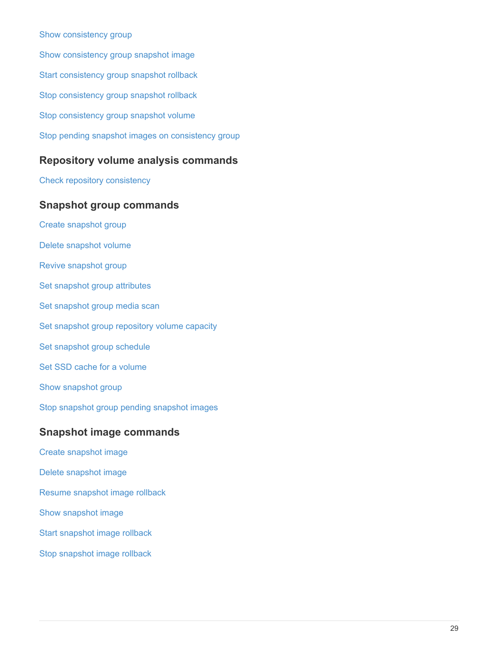#### [Show consistency group](https://docs.netapp.com/us-en/e-series-cli/commands-a-z/show-consistencygroup.html)

[Show consistency group snapshot image](https://docs.netapp.com/us-en/e-series-cli/commands-a-z/show-cgsnapimage.html) [Start consistency group snapshot rollback](https://docs.netapp.com/us-en/e-series-cli/commands-a-z/start-cgsnapimage-rollback.html) [Stop consistency group snapshot rollback](https://docs.netapp.com/us-en/e-series-cli/commands-a-z/stop-cgsnapimage-rollback.html) [Stop consistency group snapshot volume](https://docs.netapp.com/us-en/e-series-cli/commands-a-z/stop-cgsnapvolume.html) [Stop pending snapshot images on consistency group](https://docs.netapp.com/us-en/e-series-cli/commands-a-z/stop-consistencygroup-pendingsnapimagecreation.html)

### **Repository volume analysis commands**

[Check repository consistency](https://docs.netapp.com/us-en/e-series-cli/commands-a-z/check-repositoryconsistency.html)

#### **Snapshot group commands**

- [Create snapshot group](https://docs.netapp.com/us-en/e-series-cli/commands-a-z/create-snapgroup.html) [Delete snapshot volume](https://docs.netapp.com/us-en/e-series-cli/commands-a-z/delete-snapvolume.html) [Revive snapshot group](https://docs.netapp.com/us-en/e-series-cli/commands-a-z/revive-snapgroup.html) [Set snapshot group attributes](https://docs.netapp.com/us-en/e-series-cli/commands-a-z/set-snapgroup.html) [Set snapshot group media scan](https://docs.netapp.com/us-en/e-series-cli/commands-a-z/set-snapgroup-mediascanenabled.html) [Set snapshot group repository volume capacity](https://docs.netapp.com/us-en/e-series-cli/commands-a-z/set-snapgroup-increase-decreaserepositorycapacity.html) [Set snapshot group schedule](https://docs.netapp.com/us-en/e-series-cli/commands-a-z/set-snapgroup-enableschedule.html) [Set SSD cache for a volume](https://docs.netapp.com/us-en/e-series-cli/commands-a-z/set-volume-ssdcacheenabled.html) [Show snapshot group](https://docs.netapp.com/us-en/e-series-cli/commands-a-z/show-snapgroup.html) [Stop snapshot group pending snapshot images](https://docs.netapp.com/us-en/e-series-cli/commands-a-z/stop-pendingsnapimagecreation.html) **Snapshot image commands** [Create snapshot image](https://docs.netapp.com/us-en/e-series-cli/commands-a-z/create-snapimage.html) [Delete snapshot image](https://docs.netapp.com/us-en/e-series-cli/commands-a-z/delete-snapimage.html) [Resume snapshot image rollback](https://docs.netapp.com/us-en/e-series-cli/commands-a-z/resume-snapimage-rollback.html) [Show snapshot image](https://docs.netapp.com/us-en/e-series-cli/commands-a-z/show-snapimage.html)
- [Start snapshot image rollback](https://docs.netapp.com/us-en/e-series-cli/commands-a-z/start-snapimage-rollback.html)
- [Stop snapshot image rollback](https://docs.netapp.com/us-en/e-series-cli/commands-a-z/stop-snapimage-rollback.html)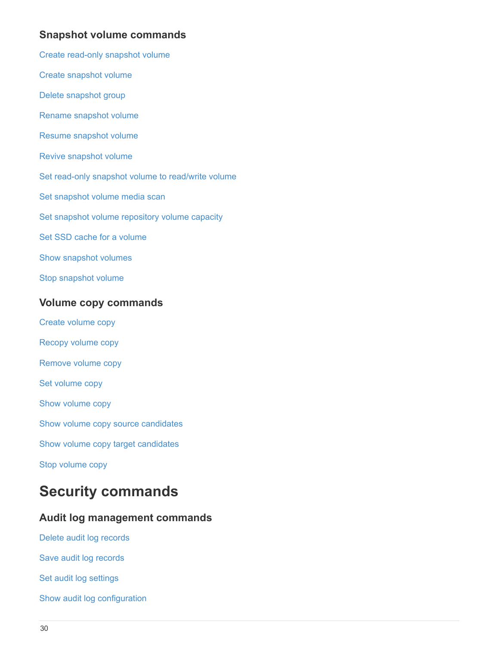# **Snapshot volume commands**

- [Create read-only snapshot volume](https://docs.netapp.com/us-en/e-series-cli/commands-a-z/create-read-only-snapshot-volume.html)
- [Create snapshot volume](https://docs.netapp.com/us-en/e-series-cli/commands-a-z/create-snapshot-volume.html)
- [Delete snapshot group](https://docs.netapp.com/us-en/e-series-cli/commands-a-z/delete-snapgroup.html)
- [Rename snapshot volume](https://docs.netapp.com/us-en/e-series-cli/commands-a-z/set-snapvolume.html)
- [Resume snapshot volume](https://docs.netapp.com/us-en/e-series-cli/commands-a-z/resume-snapvolume.html)
- [Revive snapshot volume](https://docs.netapp.com/us-en/e-series-cli/commands-a-z/revive-snapvolume.html)
- [Set read-only snapshot volume to read/write volume](https://docs.netapp.com/us-en/e-series-cli/commands-a-z/set-snapvolume-converttoreadwrite.html)
- [Set snapshot volume media scan](https://docs.netapp.com/us-en/e-series-cli/commands-a-z/set-snapvolume-mediascanenabled.html)
- [Set snapshot volume repository volume capacity](https://docs.netapp.com/us-en/e-series-cli/commands-a-z/set-snapvolume-increase-decreaserepositorycapacity.html)
- [Set SSD cache for a volume](https://docs.netapp.com/us-en/e-series-cli/commands-a-z/set-volume-ssdcacheenabled.html)
- [Show snapshot volumes](https://docs.netapp.com/us-en/e-series-cli/commands-a-z/show-snapvolume.html)
- [Stop snapshot volume](https://docs.netapp.com/us-en/e-series-cli/commands-a-z/stop-snapvolume.html)

### **Volume copy commands**

- [Create volume copy](https://docs.netapp.com/us-en/e-series-cli/commands-a-z/create-volumecopy.html)
- [Recopy volume copy](https://docs.netapp.com/us-en/e-series-cli/commands-a-z/recopy-volumecopy-target.html)
- [Remove volume copy](https://docs.netapp.com/us-en/e-series-cli/commands-a-z/remove-volumecopy-target.html)
- [Set volume copy](https://docs.netapp.com/us-en/e-series-cli/commands-a-z/set-volumecopy-target.html)
- [Show volume copy](https://docs.netapp.com/us-en/e-series-cli/commands-a-z/show-volumecopy.html)
- [Show volume copy source candidates](https://docs.netapp.com/us-en/e-series-cli/commands-a-z/show-volumecopy-sourcecandidates.html)
- [Show volume copy target candidates](https://docs.netapp.com/us-en/e-series-cli/commands-a-z/show-volumecopy-source-targetcandidates.html)
- [Stop volume copy](https://docs.netapp.com/us-en/e-series-cli/commands-a-z/stop-volumecopy-target-source.html)

# <span id="page-31-0"></span>**Security commands**

# **Audit log management commands**

- [Delete audit log records](https://docs.netapp.com/us-en/e-series-cli/commands-a-z/delete-auditlog.html)
- [Save audit log records](https://docs.netapp.com/us-en/e-series-cli/commands-a-z/save-auditlog.html)
- [Set audit log settings](https://docs.netapp.com/us-en/e-series-cli/commands-a-z/set-auditlog.html)
- [Show audit log configuration](https://docs.netapp.com/us-en/e-series-cli/commands-a-z/show-auditlog-configuration.html)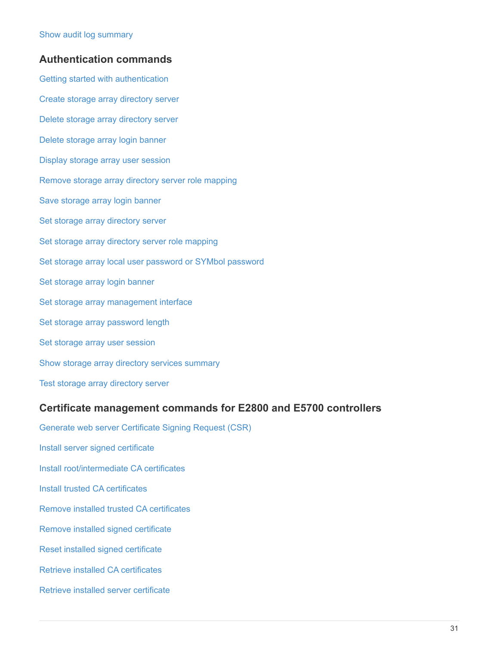### **Authentication commands**

[Getting started with authentication](https://docs.netapp.com/us-en/e-series-cli/commands-a-z/getting-started-with-authentication.html) [Create storage array directory server](https://docs.netapp.com/us-en/e-series-cli/commands-a-z/create-storagearray-directoryserver.html) [Delete storage array directory server](https://docs.netapp.com/us-en/e-series-cli/commands-a-z/delete-storagearray-directoryservers.html) [Delete storage array login banner](https://docs.netapp.com/us-en/e-series-cli/commands-a-z/delete-storagearray-loginbanner.html) [Display storage array user session](https://docs.netapp.com/us-en/e-series-cli/commands-a-z/show-storagearray-usersession.html) [Remove storage array directory server role mapping](https://docs.netapp.com/us-en/e-series-cli/commands-a-z/remove-storagearray-directoryserver.html) [Save storage array login banner](https://docs.netapp.com/us-en/e-series-cli/commands-a-z/save-storagearray-loginbanner.html) [Set storage array directory server](https://docs.netapp.com/us-en/e-series-cli/commands-a-z/set-storagearray-directoryserver.html) [Set storage array directory server role mapping](https://docs.netapp.com/us-en/e-series-cli/commands-a-z/set-storagearray-directoryserver-roles.html) [Set storage array local user password or SYMbol password](https://docs.netapp.com/us-en/e-series-cli/commands-a-z/set-storagearray-localusername.html) [Set storage array login banner](https://docs.netapp.com/us-en/e-series-cli/commands-a-z/set-storagearray-loginbanner.html) [Set storage array management interface](https://docs.netapp.com/us-en/e-series-cli/commands-a-z/set-storagearray-managementinterface.html) [Set storage array password length](https://docs.netapp.com/us-en/e-series-cli/commands-a-z/set-storagearray-passwordlength.html) [Set storage array user session](https://docs.netapp.com/us-en/e-series-cli/commands-a-z/set-storagearray-usersession.html) [Show storage array directory services summary](https://docs.netapp.com/us-en/e-series-cli/commands-a-z/show-storagearray-directoryservices-summary.html) [Test storage array directory server](https://docs.netapp.com/us-en/e-series-cli/commands-a-z/start-storagearray-directoryservices-test.html)

### **Certificate management commands for E2800 and E5700 controllers**

[Generate web server Certificate Signing Request \(CSR\)](https://docs.netapp.com/us-en/e-series-cli/commands-a-z/save-controller-arraymanagementcsr.html) [Install server signed certificate](https://docs.netapp.com/us-en/e-series-cli/commands-a-z/download-controller-arraymanagementservercertificate.html) [Install root/intermediate CA certificates](https://docs.netapp.com/us-en/e-series-cli/commands-a-z/download-controller-cacertificate.html) [Install trusted CA certificates](https://docs.netapp.com/us-en/e-series-cli/commands-a-z/download-controller-trustedcertificate.html) [Remove installed trusted CA certificates](https://docs.netapp.com/us-en/e-series-cli/commands-a-z/delete-storagearray-trustedcertificate.html) [Remove installed signed certificate](https://docs.netapp.com/us-en/e-series-cli/commands-a-z/delete-controller-cacertificate.html) [Reset installed signed certificate](https://docs.netapp.com/us-en/e-series-cli/commands-a-z/reset-controller-arraymanagementsignedcertificate.html) [Retrieve installed CA certificates](https://docs.netapp.com/us-en/e-series-cli/commands-a-z/save-controller-cacertificate.html) [Retrieve installed server certificate](https://docs.netapp.com/us-en/e-series-cli/commands-a-z/save-controller-arraymanagementsignedcertificate.html)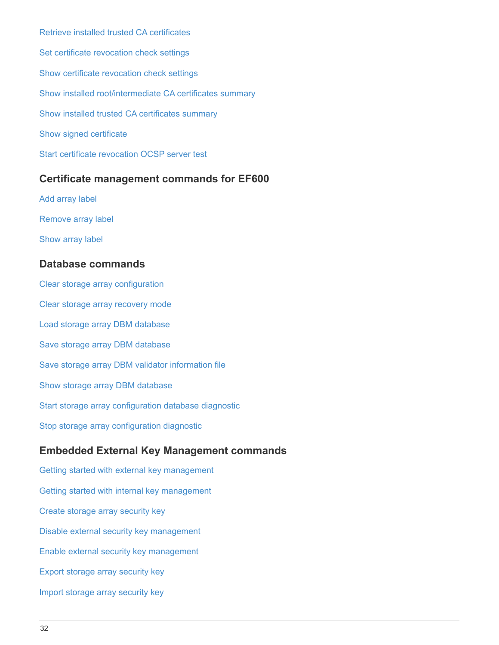[Retrieve installed trusted CA certificates](https://docs.netapp.com/us-en/e-series-cli/commands-a-z/save-storagearray-trustedcertificate.html) [Set certificate revocation check settings](https://docs.netapp.com/us-en/e-series-cli/commands-a-z/set-storagearray-revocationchecksettings.html) [Show certificate revocation check settings](https://docs.netapp.com/us-en/e-series-cli/commands-a-z/show-storagearray-revocationchecksettings.html) [Show installed root/intermediate CA certificates summary](https://docs.netapp.com/us-en/e-series-cli/commands-a-z/show-controller-cacertificate.html) [Show installed trusted CA certificates summary](https://docs.netapp.com/us-en/e-series-cli/commands-a-z/show-storagearray-trustedcertificate-summary.html) [Show signed certificate](https://docs.netapp.com/us-en/e-series-cli/commands-a-z/show-controller-arraymanagementsignedcertificate-summary.html) [Start certificate revocation OCSP server test](https://docs.netapp.com/us-en/e-series-cli/commands-a-z/start-storagearray-ocspresponderurl-test.html)

### **Certificate management commands for EF600**

[Add array label](https://docs.netapp.com/us-en/e-series-cli/commands-a-z/add-array-label.html) [Remove array label](https://docs.netapp.com/us-en/e-series-cli/commands-a-z/remove-array-label.html) [Show array label](https://docs.netapp.com/us-en/e-series-cli/commands-a-z/show-array-label.html)

### **Database commands**

[Clear storage array configuration](https://docs.netapp.com/us-en/e-series-cli/commands-a-z/clear-storagearray-configuration.html) [Clear storage array recovery mode](https://docs.netapp.com/us-en/e-series-cli/commands-a-z/clear-storagearray-recoverymode.html) [Load storage array DBM database](https://docs.netapp.com/us-en/e-series-cli/commands-a-z/load-storagearray-dbmdatabase.html) [Save storage array DBM database](https://docs.netapp.com/us-en/e-series-cli/commands-a-z/save-storagearray-dbmdatabase.html) [Save storage array DBM validator information file](https://docs.netapp.com/us-en/e-series-cli/commands-a-z/save-storagearray-dbmvalidatorinfo.html) [Show storage array DBM database](https://docs.netapp.com/us-en/e-series-cli/commands-a-z/show-storagearray-dbmdatabase.html) [Start storage array configuration database diagnostic](https://docs.netapp.com/us-en/e-series-cli/commands-a-z/start-storagearray-configdbdiagnostic.html) [Stop storage array configuration diagnostic](https://docs.netapp.com/us-en/e-series-cli/commands-a-z/stop-storagearray-configdbdiagnostic.html)

# **Embedded External Key Management commands**

[Getting started with external key management](https://docs.netapp.com/us-en/e-series-cli/commands-a-z/set-storagearray-externalkeymanagement.html) [Getting started with internal key management](https://docs.netapp.com/us-en/e-series-cli/commands-a-z/getting-started-with-internal-key-management.html) [Create storage array security key](https://docs.netapp.com/us-en/e-series-cli/commands-a-z/create-storagearray-securitykey.html) [Disable external security key management](https://docs.netapp.com/us-en/e-series-cli/commands-a-z/disable-storagearray-externalkeymanagement-file.html) [Enable external security key management](https://docs.netapp.com/us-en/e-series-cli/commands-a-z/enable-storagearray-externalkeymanagement-file.html) [Export storage array security key](https://docs.netapp.com/us-en/e-series-cli/commands-a-z/export-storagearray-securitykey.html) [Import storage array security key](https://docs.netapp.com/us-en/e-series-cli/commands-a-z/import-storagearray-securitykey-file.html)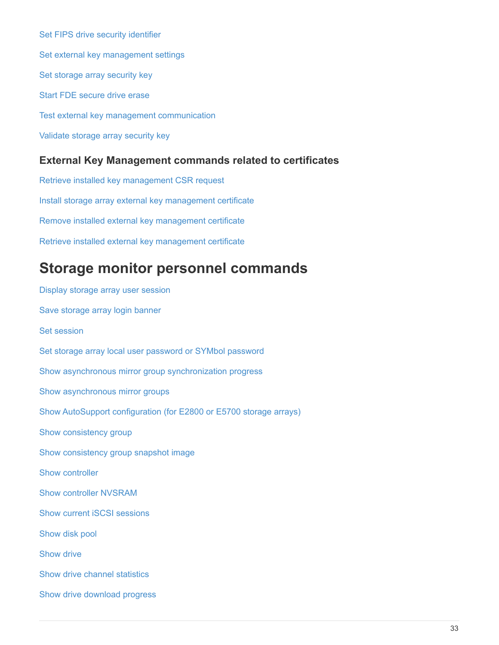[Set FIPS drive security identifier](https://docs.netapp.com/us-en/e-series-cli/commands-a-z/set-storagearray-externalkeymanagement.html) [Set external key management settings](https://docs.netapp.com/us-en/e-series-cli/commands-a-z/set-storagearray-externalkeymanagement.html) [Set storage array security key](https://docs.netapp.com/us-en/e-series-cli/commands-a-z/set-storagearray-externalkeymanagement.html) [Start FDE secure drive erase](https://docs.netapp.com/us-en/e-series-cli/commands-a-z/start-secureerase-drive.html) [Test external key management communication](https://docs.netapp.com/us-en/e-series-cli/commands-a-z/start-storagearray-externalkeymanagement-test.html) [Validate storage array security key](https://docs.netapp.com/us-en/e-series-cli/commands-a-z/validate-storagearray-securitykey.html)

### **External Key Management commands related to certificates**

[Retrieve installed key management CSR request](https://docs.netapp.com/us-en/e-series-cli/commands-a-z/save-storagearray-keymanagementclientcsr.html) [Install storage array external key management certificate](https://docs.netapp.com/us-en/e-series-cli/commands-a-z/download-storagearray-keymanagementcertificate.html) [Remove installed external key management certificate](https://docs.netapp.com/us-en/e-series-cli/commands-a-z/delete-storagearray-keymanagementcertificate.html) [Retrieve installed external key management certificate](https://docs.netapp.com/us-en/e-series-cli/commands-a-z/save-storagearray-keymanagementcertificate.html)

# <span id="page-34-0"></span>**Storage monitor personnel commands**

[Display storage array user session](https://docs.netapp.com/us-en/e-series-cli/commands-a-z/show-storagearray-usersession.html) [Save storage array login banner](https://docs.netapp.com/us-en/e-series-cli/commands-a-z/save-storagearray-loginbanner.html) [Set session](https://docs.netapp.com/us-en/e-series-cli/commands-a-z/set-session-erroraction.html) [Set storage array local user password or SYMbol password](https://docs.netapp.com/us-en/e-series-cli/commands-a-z/set-storagearray-localusername.html) [Show asynchronous mirror group synchronization progress](https://docs.netapp.com/us-en/e-series-cli/commands-a-z/show-asyncmirrorgroup-synchronizationprogress.html) [Show asynchronous mirror groups](https://docs.netapp.com/us-en/e-series-cli/commands-a-z/show-asyncmirrorgroup-summary.html) [Show AutoSupport configuration \(for E2800 or E5700 storage arrays\)](https://docs.netapp.com/us-en/e-series-cli/commands-a-z/show-storagearray-autosupport.html) [Show consistency group](https://docs.netapp.com/us-en/e-series-cli/commands-a-z/show-consistencygroup.html) [Show consistency group snapshot image](https://docs.netapp.com/us-en/e-series-cli/commands-a-z/show-cgsnapimage.html) [Show controller](https://docs.netapp.com/us-en/e-series-cli/commands-a-z/show-controller.html) [Show controller NVSRAM](https://docs.netapp.com/us-en/e-series-cli/commands-a-z/show-controller-nvsram.html) [Show current iSCSI sessions](https://docs.netapp.com/us-en/e-series-cli/commands-a-z/show-iscsisessions.html) [Show disk pool](https://docs.netapp.com/us-en/e-series-cli/commands-a-z/show-diskpool.html) [Show drive](https://docs.netapp.com/us-en/e-series-cli/commands-a-z/show-alldrives.html) [Show drive channel statistics](https://docs.netapp.com/us-en/e-series-cli/commands-a-z/show-drivechannel-stats.html) [Show drive download progress](https://docs.netapp.com/us-en/e-series-cli/commands-a-z/show-alldrives-downloadprogress.html)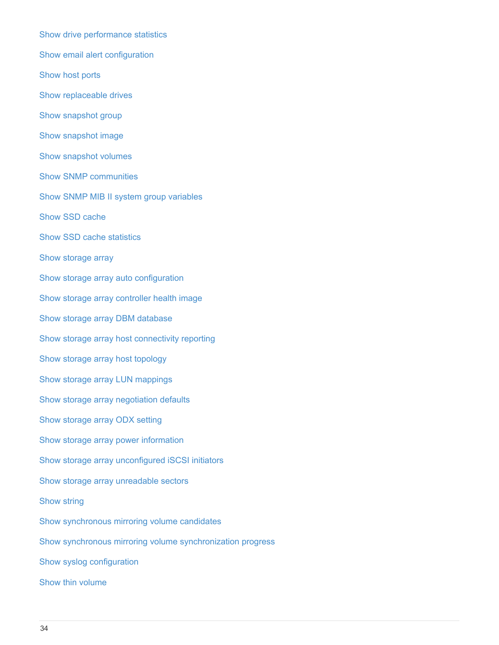[Show drive performance statistics](https://docs.netapp.com/us-en/e-series-cli/commands-a-z/show-alldrives-performancestats.html) [Show email alert configuration](https://docs.netapp.com/us-en/e-series-cli/commands-a-z/show-emailalert-summary.html) [Show host ports](https://docs.netapp.com/us-en/e-series-cli/commands-a-z/show-allhostports.html) [Show replaceable drives](https://docs.netapp.com/us-en/e-series-cli/commands-a-z/show-replaceabledrives.html) [Show snapshot group](https://docs.netapp.com/us-en/e-series-cli/commands-a-z/show-snapgroup.html) [Show snapshot image](https://docs.netapp.com/us-en/e-series-cli/commands-a-z/show-snapimage.html) [Show snapshot volumes](https://docs.netapp.com/us-en/e-series-cli/commands-a-z/show-snapvolume.html) [Show SNMP communities](https://docs.netapp.com/us-en/e-series-cli/commands-a-z/show-allsnmpcommunities.html) [Show SNMP MIB II system group variables](https://docs.netapp.com/us-en/e-series-cli/commands-a-z/show-snmpsystemvariables.html) [Show SSD cache](https://docs.netapp.com/us-en/e-series-cli/commands-a-z/show-ssd-cache.html) [Show SSD cache statistics](https://docs.netapp.com/us-en/e-series-cli/commands-a-z/show-ssd-cache-statistics.html) [Show storage array](https://docs.netapp.com/us-en/e-series-cli/commands-a-z/show-storagearray.html) [Show storage array auto configuration](https://docs.netapp.com/us-en/e-series-cli/commands-a-z/show-storagearray-autoconfiguration.html) [Show storage array controller health image](https://docs.netapp.com/us-en/e-series-cli/commands-a-z/show-storagearray-controllerhealthimage.html) [Show storage array DBM database](https://docs.netapp.com/us-en/e-series-cli/commands-a-z/show-storagearray-dbmdatabase.html) [Show storage array host connectivity reporting](https://docs.netapp.com/us-en/e-series-cli/commands-a-z/show-storagearray-hostconnectivityreporting.html) [Show storage array host topology](https://docs.netapp.com/us-en/e-series-cli/commands-a-z/show-storagearray-hosttopology.html) [Show storage array LUN mappings](https://docs.netapp.com/us-en/e-series-cli/commands-a-z/show-storagearray-lunmappings.html) [Show storage array negotiation defaults](https://docs.netapp.com/us-en/e-series-cli/commands-a-z/show-storagearray-iscsinegotiationdefaults.html) [Show storage array ODX setting](https://docs.netapp.com/us-en/e-series-cli/commands-a-z/show-storagearray-odxsetting.html) [Show storage array power information](https://docs.netapp.com/us-en/e-series-cli/commands-a-z/show-storagearray-powerinfo.html) [Show storage array unconfigured iSCSI initiators](https://docs.netapp.com/us-en/e-series-cli/commands-a-z/show-storagearray-unconfigurediscsiinitiators.html) [Show storage array unreadable sectors](https://docs.netapp.com/us-en/e-series-cli/commands-a-z/show-storagearray-unreadablesectors.html) [Show string](https://docs.netapp.com/us-en/e-series-cli/commands-a-z/show-textstring.html) [Show synchronous mirroring volume candidates](https://docs.netapp.com/us-en/e-series-cli/commands-a-z/show-syncmirror-candidates.html) [Show synchronous mirroring volume synchronization progress](https://docs.netapp.com/us-en/e-series-cli/commands-a-z/show-syncmirror-synchronizationprogress.html) [Show syslog configuration](https://docs.netapp.com/us-en/e-series-cli/commands-a-z/show-syslog-summary.html) [Show thin volume](https://docs.netapp.com/us-en/e-series-cli/commands-a-z/show-volume.html)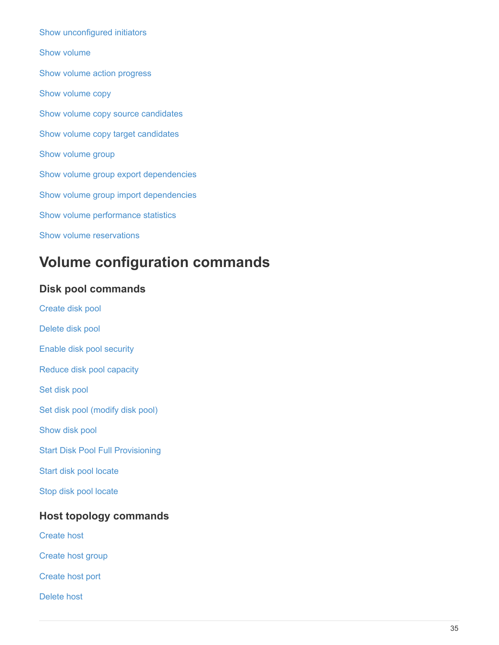[Show unconfigured initiators](https://docs.netapp.com/us-en/e-series-cli/commands-a-z/show-storagearray-unconfiguredinitiators.html) [Show volume](https://docs.netapp.com/us-en/e-series-cli/commands-a-z/show-volume-summary.html) [Show volume action progress](https://docs.netapp.com/us-en/e-series-cli/commands-a-z/show-volume-actionprogress.html) [Show volume copy](https://docs.netapp.com/us-en/e-series-cli/commands-a-z/show-volumecopy.html) [Show volume copy source candidates](https://docs.netapp.com/us-en/e-series-cli/commands-a-z/show-volumecopy-sourcecandidates.html) [Show volume copy target candidates](https://docs.netapp.com/us-en/e-series-cli/commands-a-z/show-volumecopy-source-targetcandidates.html) [Show volume group](https://docs.netapp.com/us-en/e-series-cli/commands-a-z/show-volumegroup.html) [Show volume group export dependencies](https://docs.netapp.com/us-en/e-series-cli/commands-a-z/show-volumegroup-exportdependencies.html) [Show volume group import dependencies](https://docs.netapp.com/us-en/e-series-cli/commands-a-z/show-volumegroup-importdependencies.html) [Show volume performance statistics](https://docs.netapp.com/us-en/e-series-cli/commands-a-z/show-volume-performancestats.html) [Show volume reservations](https://docs.netapp.com/us-en/e-series-cli/commands-a-z/show-volume-reservations.html)

# <span id="page-36-0"></span>**Volume configuration commands**

# **Disk pool commands**

[Create disk pool](https://docs.netapp.com/us-en/e-series-cli/commands-a-z/create-diskpool.html) [Delete disk pool](https://docs.netapp.com/us-en/e-series-cli/commands-a-z/delete-diskpool.html) [Enable disk pool security](https://docs.netapp.com/us-en/e-series-cli/commands-a-z/enable-diskpool-security.html) [Reduce disk pool capacity](https://docs.netapp.com/us-en/e-series-cli/commands-a-z/reduce-disk-pool-capacity.html) [Set disk pool](https://docs.netapp.com/us-en/e-series-cli/commands-a-z/set-disk-pool.html) [Set disk pool \(modify disk pool\)](https://docs.netapp.com/us-en/e-series-cli/commands-a-z/set-disk-pool-modify-disk-pool.html) [Show disk pool](https://docs.netapp.com/us-en/e-series-cli/commands-a-z/show-diskpool.html) [Start Disk Pool Full Provisioning](https://docs.netapp.com/us-en/e-series-cli/commands-a-z/start-diskpool-fullprovisioning.html) [Start disk pool locate](https://docs.netapp.com/us-en/e-series-cli/commands-a-z/start-diskpool-locate.html) [Stop disk pool locate](https://docs.netapp.com/us-en/e-series-cli/commands-a-z/stop-diskpool-locate.html)

# **Host topology commands**

[Create host](https://docs.netapp.com/us-en/e-series-cli/commands-a-z/create-host.html)

[Create host group](https://docs.netapp.com/us-en/e-series-cli/commands-a-z/create-hostgroup.html)

[Create host port](https://docs.netapp.com/us-en/e-series-cli/commands-a-z/create-hostport.html)

[Delete host](https://docs.netapp.com/us-en/e-series-cli/commands-a-z/delete-host.html)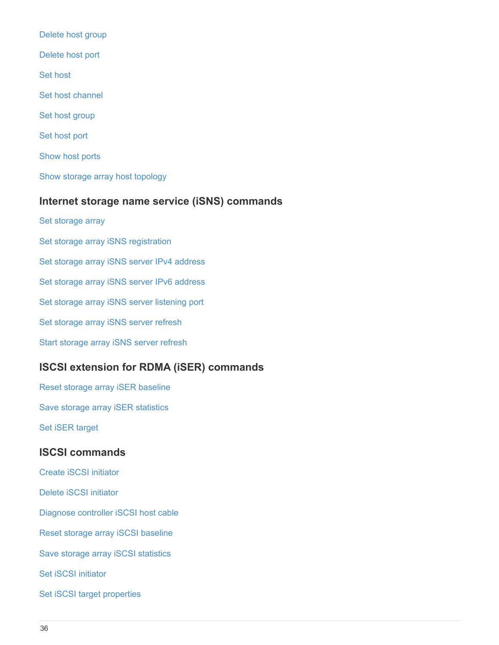[Delete host group](https://docs.netapp.com/us-en/e-series-cli/commands-a-z/delete-hostgroup.html) [Delete host port](https://docs.netapp.com/us-en/e-series-cli/commands-a-z/delete-hostport.html) [Set host](https://docs.netapp.com/us-en/e-series-cli/commands-a-z/set-host.html) [Set host channel](https://docs.netapp.com/us-en/e-series-cli/commands-a-z/set-hostchannel.html) [Set host group](https://docs.netapp.com/us-en/e-series-cli/commands-a-z/set-hostgroup.html) [Set host port](https://docs.netapp.com/us-en/e-series-cli/commands-a-z/set-hostport.html) [Show host ports](https://docs.netapp.com/us-en/e-series-cli/commands-a-z/show-allhostports.html) [Show storage array host topology](https://docs.netapp.com/us-en/e-series-cli/commands-a-z/show-storagearray-hosttopology.html)

### **Internet storage name service (iSNS) commands**

[Set storage array](https://docs.netapp.com/us-en/e-series-cli/commands-a-z/set-storagearray.html) [Set storage array iSNS registration](https://docs.netapp.com/us-en/e-series-cli/commands-a-z/set-storagearray-isnsregistration.html) [Set storage array iSNS server IPv4 address](https://docs.netapp.com/us-en/e-series-cli/commands-a-z/set-storagearray-isnsipv4configurationmethod.html) [Set storage array iSNS server IPv6 address](https://docs.netapp.com/us-en/e-series-cli/commands-a-z/set-storagearray-isnsipv6address.html) [Set storage array iSNS server listening port](https://docs.netapp.com/us-en/e-series-cli/commands-a-z/set-storagearray-isnslisteningport.html) [Set storage array iSNS server refresh](https://docs.netapp.com/us-en/e-series-cli/commands-a-z/set-storagearray-isnsserverrefresh.html) [Start storage array iSNS server refresh](https://docs.netapp.com/us-en/e-series-cli/commands-a-z/start-storagearray-isnsserverrefresh.html)

# **ISCSI extension for RDMA (iSER) commands**

[Reset storage array iSER baseline](https://docs.netapp.com/us-en/e-series-cli/commands-a-z/reset-storagearray-iserstatsbaseline.html) [Save storage array iSER statistics](https://docs.netapp.com/us-en/e-series-cli/commands-a-z/save-storagearray-iserstatistics.html) [Set iSER target](https://docs.netapp.com/us-en/e-series-cli/commands-a-z/set-isertarget.html)

#### **ISCSI commands**

[Create iSCSI initiator](https://docs.netapp.com/us-en/e-series-cli/commands-a-z/create-iscsiinitiator.html)

[Delete iSCSI initiator](https://docs.netapp.com/us-en/e-series-cli/commands-a-z/delete-iscsiinitiator.html)

[Diagnose controller iSCSI host cable](https://docs.netapp.com/us-en/e-series-cli/commands-a-z/diagnose-controller-iscsihostport.html)

[Reset storage array iSCSI baseline](https://docs.netapp.com/us-en/e-series-cli/commands-a-z/reset-storagearray-iscsistatsbaseline.html)

[Save storage array iSCSI statistics](https://docs.netapp.com/us-en/e-series-cli/commands-a-z/diagnose-controller-iscsihostport.html)

[Set iSCSI initiator](https://docs.netapp.com/us-en/e-series-cli/commands-a-z/set-iscsiinitiator.html)

[Set iSCSI target properties](https://docs.netapp.com/us-en/e-series-cli/commands-a-z/set-iscsitarget.html)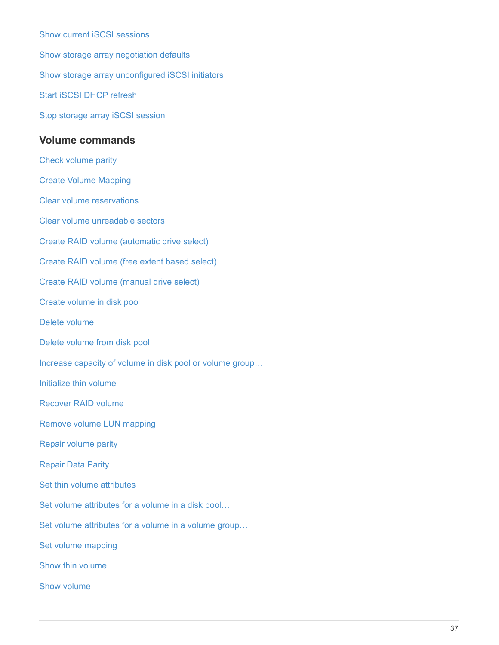[Show current iSCSI sessions](https://docs.netapp.com/us-en/e-series-cli/commands-a-z/show-iscsisessions.html) [Show storage array negotiation defaults](https://docs.netapp.com/us-en/e-series-cli/commands-a-z/show-storagearray-iscsinegotiationdefaults.html) [Show storage array unconfigured iSCSI initiators](https://docs.netapp.com/us-en/e-series-cli/commands-a-z/show-storagearray-unconfigurediscsiinitiators.html) [Start iSCSI DHCP refresh](https://docs.netapp.com/us-en/e-series-cli/commands-a-z/start-controller-iscsihostport-dhcprefresh.html) [Stop storage array iSCSI session](https://docs.netapp.com/us-en/e-series-cli/commands-a-z/stop-storagearray-iscsisession.html) **Volume commands** [Check volume parity](https://docs.netapp.com/us-en/e-series-cli/commands-a-z/check-volume-parity.html) [Create Volume Mapping](https://docs.netapp.com/us-en/e-series-cli/commands-a-z/create-mapping-volume.html) [Clear volume reservations](https://docs.netapp.com/us-en/e-series-cli/commands-a-z/clear-volume-reservations.html) [Clear volume unreadable sectors](https://docs.netapp.com/us-en/e-series-cli/commands-a-z/clear-volume-unreadablesectors.html) [Create RAID volume \(automatic drive select\)](https://docs.netapp.com/us-en/e-series-cli/commands-a-z/create-raid-volume-automatic-drive-select.html)

[Create RAID volume \(free extent based select\)](https://docs.netapp.com/us-en/e-series-cli/commands-a-z/create-raid-volume-free-extent-based-select.html)

[Create RAID volume \(manual drive select\)](https://docs.netapp.com/us-en/e-series-cli/commands-a-z/create-raid-volume-manual-drive-select.html)

[Create volume in disk pool](https://docs.netapp.com/us-en/e-series-cli/commands-a-z/create-volume-diskpool.html)

[Delete volume](https://docs.netapp.com/us-en/e-series-cli/commands-a-z/delete-volume.html)

[Delete volume from disk pool](https://docs.netapp.com/us-en/e-series-cli/commands-a-z/delete-volume-from-disk-pool.html)

[Increase capacity of volume in disk pool or volume group…](https://docs.netapp.com/us-en/e-series-cli/commands-a-z/start-increasevolumecapacity-volume.html)

[Initialize thin volume](https://docs.netapp.com/us-en/e-series-cli/commands-a-z/start-volume-initialize.html)

[Recover RAID volume](https://docs.netapp.com/us-en/e-series-cli/commands-a-z/recover-volume.html)

[Remove volume LUN mapping](https://docs.netapp.com/us-en/e-series-cli/commands-a-z/remove-lunmapping.html)

[Repair volume parity](https://docs.netapp.com/us-en/e-series-cli/commands-a-z/repair-volume-parity.html)

[Repair Data Parity](https://docs.netapp.com/us-en/e-series-cli/commands-a-z/repair-data-parity.html)

[Set thin volume attributes](https://docs.netapp.com/us-en/e-series-cli/commands-a-z/set-thin-volume-attributes.html)

[Set volume attributes for a volume in a disk pool…](https://docs.netapp.com/us-en/e-series-cli/commands-a-z/set-volumes.html)

[Set volume attributes for a volume in a volume group…](https://docs.netapp.com/us-en/e-series-cli/commands-a-z/set-volume-group-attributes-for-volume-in-a-volume-group.html)

[Set volume mapping](https://docs.netapp.com/us-en/e-series-cli/commands-a-z/set-volume-logicalunitnumber.html)

[Show thin volume](https://docs.netapp.com/us-en/e-series-cli/commands-a-z/show-volume.html)

[Show volume](https://docs.netapp.com/us-en/e-series-cli/commands-a-z/show-volume-summary.html)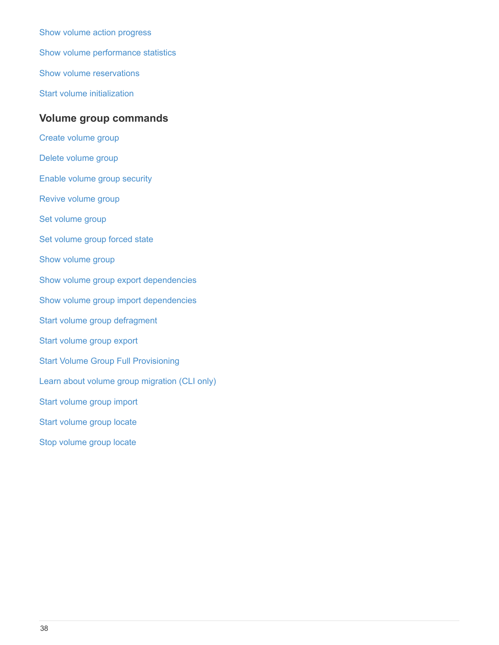[Show volume action progress](https://docs.netapp.com/us-en/e-series-cli/commands-a-z/show-volume-actionprogress.html) [Show volume performance statistics](https://docs.netapp.com/us-en/e-series-cli/commands-a-z/show-volume-performancestats.html) [Show volume reservations](https://docs.netapp.com/us-en/e-series-cli/commands-a-z/show-volume-reservations.html) [Start volume initialization](https://docs.netapp.com/us-en/e-series-cli/commands-a-z/start-volume-initialization.html)

# **Volume group commands**

- [Create volume group](https://docs.netapp.com/us-en/e-series-cli/commands-a-z/create-volumegroup.html)
- [Delete volume group](https://docs.netapp.com/us-en/e-series-cli/commands-a-z/delete-volumegroup.html)
- [Enable volume group security](https://docs.netapp.com/us-en/e-series-cli/commands-a-z/enable-volumegroup-security.html)
- [Revive volume group](https://docs.netapp.com/us-en/e-series-cli/commands-a-z/revive-volumegroup.html)
- [Set volume group](https://docs.netapp.com/us-en/e-series-cli/commands-a-z/set-volumegroup.html)
- [Set volume group forced state](https://docs.netapp.com/us-en/e-series-cli/commands-a-z/set-volumegroup-forcedstate.html)
- [Show volume group](https://docs.netapp.com/us-en/e-series-cli/commands-a-z/show-volumegroup.html)
- [Show volume group export dependencies](https://docs.netapp.com/us-en/e-series-cli/commands-a-z/show-volumegroup-exportdependencies.html)
- [Show volume group import dependencies](https://docs.netapp.com/us-en/e-series-cli/commands-a-z/show-volumegroup-importdependencies.html)
- [Start volume group defragment](https://docs.netapp.com/us-en/e-series-cli/commands-a-z/start-volumegroup-defragment.html)
- [Start volume group export](https://docs.netapp.com/us-en/e-series-cli/commands-a-z/start-volumegroup-export.html)
- [Start Volume Group Full Provisioning](https://docs.netapp.com/us-en/e-series-cli/commands-a-z/start-volumegroup-fullprovisioning.html)
- [Learn about volume group migration \(CLI only\)](https://docs.netapp.com/us-en/e-series-cli/get-started/learn-about-volume-group-migration.html)
- [Start volume group import](https://docs.netapp.com/us-en/e-series-cli/commands-a-z/start-volumegroup-import.html)
- [Start volume group locate](https://docs.netapp.com/us-en/e-series-cli/commands-a-z/start-volumegroup-locate.html)
- [Stop volume group locate](https://docs.netapp.com/us-en/e-series-cli/commands-a-z/stop-volumegroup-locate.html)